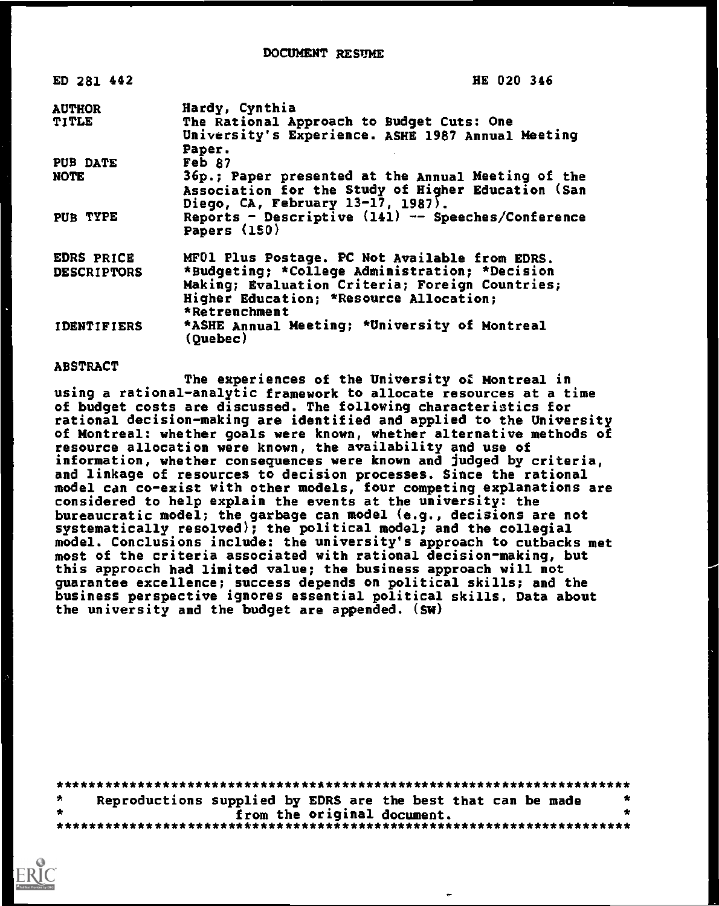DOCUMENT RESUME

| ED 281 442         | HE 020 346                                                                                                                                    |
|--------------------|-----------------------------------------------------------------------------------------------------------------------------------------------|
| <b>AUTHOR</b>      | Hardy, Cynthia                                                                                                                                |
| <b>TITLE</b>       | The Rational Approach to Budget Cuts: One                                                                                                     |
|                    | University's Experience. ASHE 1987 Annual Meeting                                                                                             |
|                    | Paper.                                                                                                                                        |
| PUB DATE           | Feb 87                                                                                                                                        |
| NOTE               | 36p.; Paper presented at the Annual Meeting of the<br>Association for the Study of Higher Education (San<br>Diego, CA, February 13-17, 1987). |
| PUB TYPE           | Reports - Descriptive $(141)$ -- Speeches/Conference<br>Papers (150)                                                                          |
| <b>EDRS PRICE</b>  | MF01 Plus Postage. PC Not Available from EDRS.                                                                                                |
| <b>DESCRIPTORS</b> | *Budgeting; *College Administration; *Decision                                                                                                |
|                    | Making; Evaluation Criteria; Foreign Countries;                                                                                               |
|                    | Higher Education; *Resource Allocation;                                                                                                       |
|                    | *Retrenchment                                                                                                                                 |
| <b>IDENTIFIERS</b> | *ASHE Annual Meeting; *University of Montreal<br><b>(Quebec)</b>                                                                              |

### ABSTRACT

The experiences of the University of Montreal in using a rational-analytic framework to allocate resources at a time of budget costs are discussed. The following characteristics for rational decision-making are identified and applied to the University of Montreal: whether goals were known, whether alternative methods of resource allocation were known, the availability and use of information, whether consequences were known and judged by criteria, and linkage of resources to decision processes. Since the rational model can co-exist with other models, four competing explanations are considered to help explain the events at the university: the bureaucratic model; the garbage can model  $(e.g.,$  decisions are not systematically resolved); the political model; and the collegial model. Conclusions include: the university's approach to cutbacks met most of the criteria associated with rational decision-making, but this approach had limited value; the business approach will not guarantee excellence; success depends on political skills; and the business perspective ignores essential political skills. Data about the university and the budget are appended. (SW)

| * | Reproductions supplied by EDRS are the best that can be made |                             |  |  |  |  |  |
|---|--------------------------------------------------------------|-----------------------------|--|--|--|--|--|
|   |                                                              | from the original document. |  |  |  |  |  |
|   |                                                              |                             |  |  |  |  |  |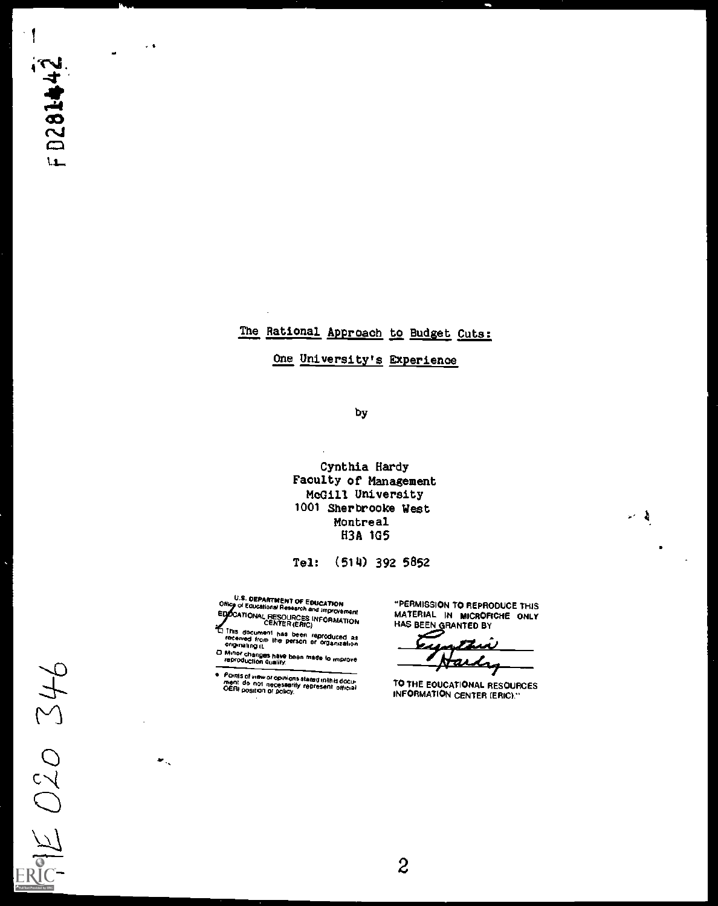# The Rational Approach to Budget Cuts:

One University's Experience

by

Cynthia Hardy Faculty of Management McGill University 1001 Sherbrooke West Montreal **H3A 1G5** 

Tel: (514) 392 5852

U.S. DEPARTMENT OF EDUCATION<br>Office of Educations/ Research and Improvement

EDOCATIONAL RESOURCES INFORMATION

- This document has been reproduced as received from the person or organization or organization on  $\alpha$  Minor changes have been made to improve reproduction quality.
- 

Points of view or opinions stated in this docu-<br>ment, do inot, necessarily represent, official<br>OERI position or pokey.

"PERMISSION TO REPRODUCE THIS MATERIAL IN MICROFICHE ONLY HAS BEEN GRANTED BY

 $\sim$  5

11.

بمك vu

TO THE EDUCATIONAL RESOURCES INFORMATION CENTER (ERIC)."

 $\cdot$  4

 $F$ **D281442**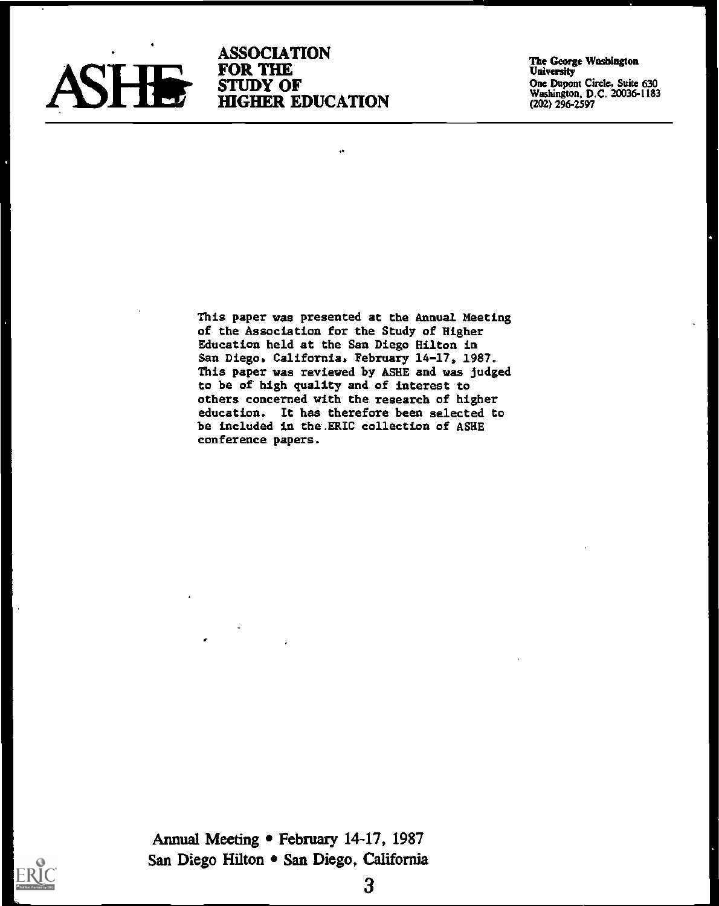# ASSOCIATION FOR THE STUDY OF HIGHER EDUCATION

The George Washington University One Dupont Circle, Suite 630 Washington, D.C. 20036-1183 (202) 296-2597

This paper was presented at the Annual Meeting of the Association for the Study of Higher Education held at the San Diego Hilton in San Diego, California, February 14-17, 1987. This paper was reviewed by ASHE and was judged to be of high quality and of interest to others concerned with the research of higher education. It has therefore been selected to be included in the.ERIC collection of AMIE conference papers.

Annual Meeting • February 14-17, 1987 San Diego Hilton · San Diego, California

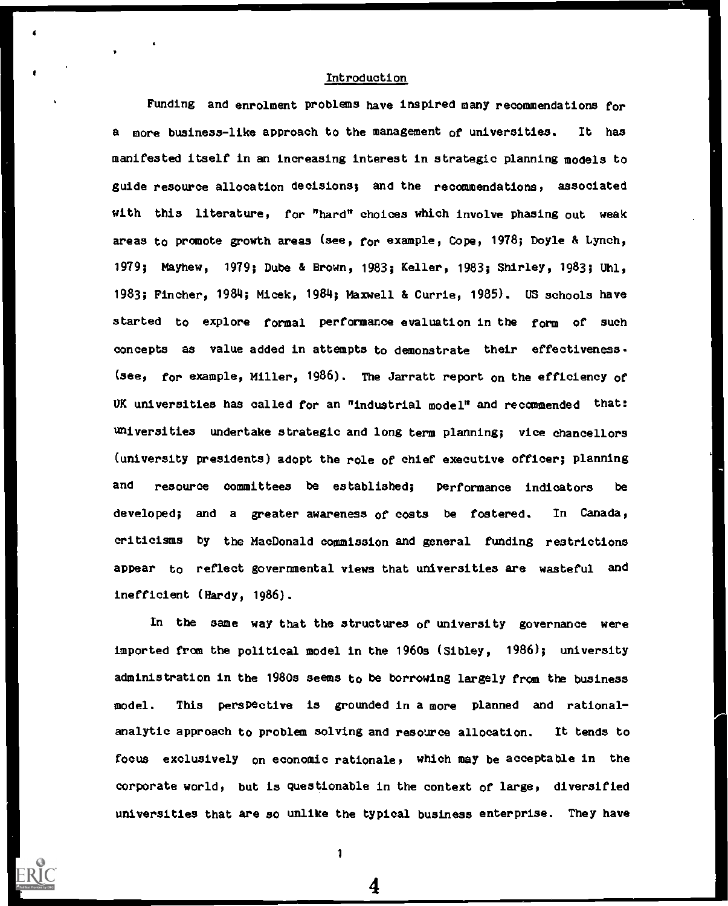#### Introduction

Funding and enrolment problems have inspired many recommendations for a more business-like approach to the management of universities. It has manifested itself in an increasing interest in strategic planning models to guide resource allocation decisions) and the recommendations, associated with this literature, for "hard" choices which involve phasing out weak areas to promote growth areas (see, for example, Cope, 1978; Doyle & Lynch, 1979; Mayhew, 1979; Dube & Brown, 1983; Keller, 1983; Shirley, 1983; Uhl, 1983; Pincher, 1984; Micek, 1984; Maxwell & Currie, 1985). US schools have started to explore formal performance evaluation in the form of such concepts as value added in attempts to demonstrate their effectiveness. (see, for example, Miller, 1986). The Jarrett report on the efficiency of UK universities has called for an "industrial model" and recommended that: universities undertake strategic and long term planning; vice chancellors (university presidents) adopt the role of chief executive officer; planning and resouroe committees be established; performance indicators be developed; and a greater awareness of costs be fostered. In Canada, criticisms by the MacDonald commission and general funding restrictions appear to reflect governmental views that universities are wasteful and inefficient (Hardy, 1986).

In the same way that the structures of university governance were imported from the political model in the 1960s (Sibley, 1986); university administration in the 1980s seems to be borrowing largely from the business model. This perspective is grounded in a more planned and rationalanalytic approach to problem solving and resource allocation. It tends to focus exclusively on economic rationale, which may be acceptable in the corporate world, but is questionable in the context of large, diversified universities that are so unlike the typical business enterprise. They have

4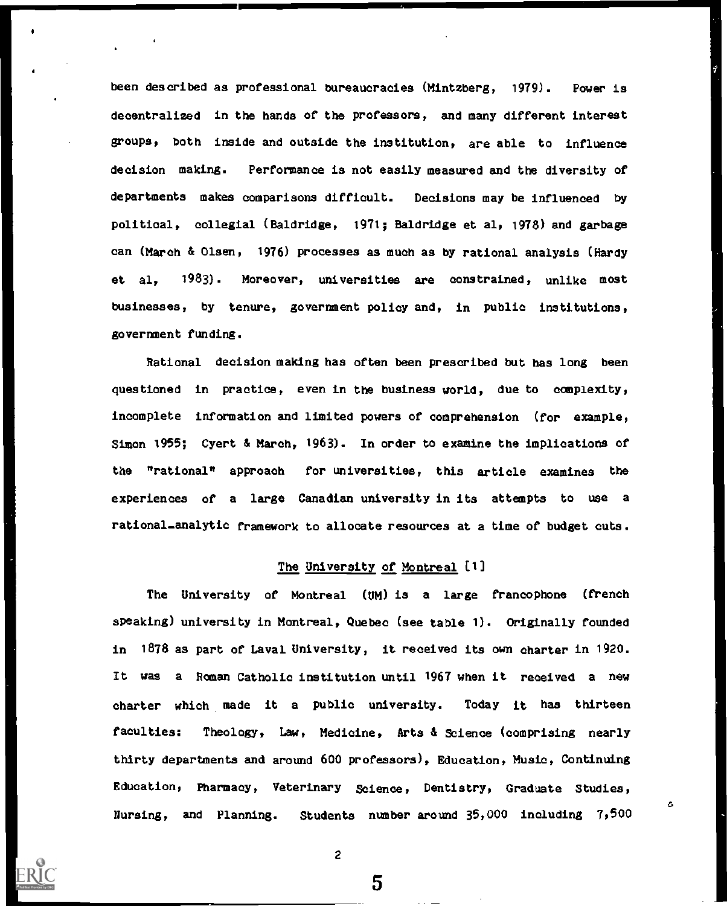been described as professional bureaucracies (Mintzberg, 1979). Power is decentralized in the hands of the professors, and many different interest groups, both inside and outside the institution, are able to influence decision making. Performance is not easily measured and the diversity of departments makes comparisons difficult. Decisions may be influenced by political, collegial (Baldridge, 1971; Baldridge et al, 1978) and garbage can (March & Olsen, 1976) processes as much as by rational analysis (Hardy et al, 1983). Moreover, universities are constrained, unlike most businesses, by tenure, government policy and, in public institutions, government funding.

Rational decision making has often been prescribed but has long been questioned in practice, even in the business world, due to complexity, incomplete information and limited powers of comprehension (for example, Simon 1955; Cyert & March, 1963). In order to examine the implications of the "rational" approach for universities, this article examines the experiences of a large Canadian university in its attempts to use a rational-analytic framework to allocate resources at a time of budget cuts.

## The University of Montreal [1]

The University of Montreal (UM) is a large francophone (french speaking) university in Montreal, Quebec (see table 1). Originally founded in 1878 as part of Laval University, it received its own charter in 1920. It was a Roman Catholic institution until 1967 when it received a new charter which made it a public university. Today it has thirteen faculties: Theology, Law, Medicine, Arts & Science (comprising nearly thirty departments and around 600 professors), Education, Music, Continuing Education, Pharmacy, Veterinary science, Dentistry, Graduate Studies, Nursing, and Planning. Students number around 35,000 including 7,500

 $\overline{5}$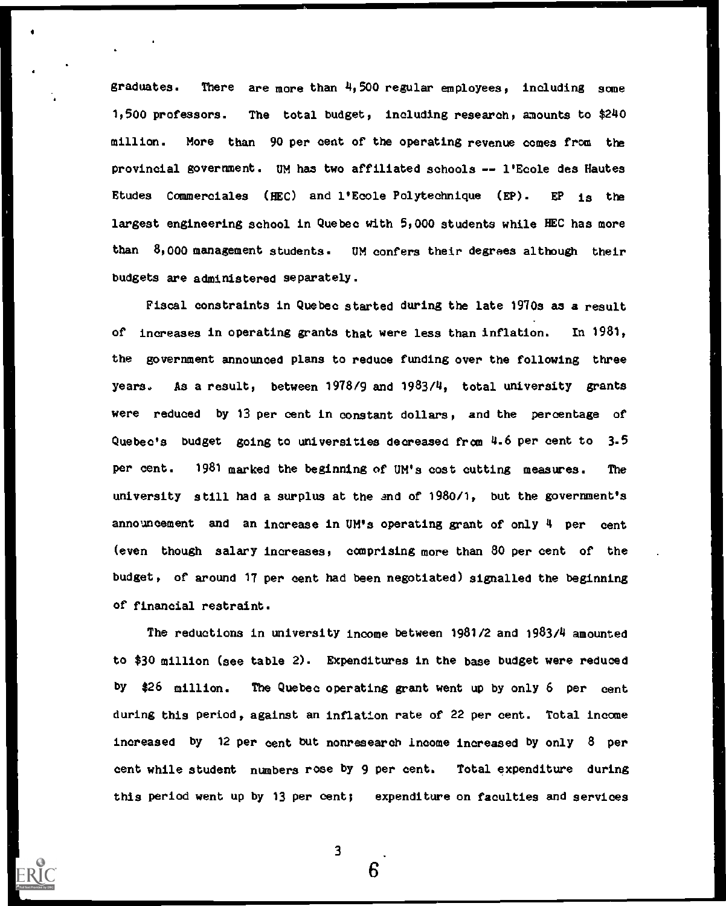graduates. There are more than  $4,500$  regular employees, including some 1,500 professors. The total budget, including research, amounts to \$240 million. More than 90 per cent of the operating revenue comes from the provincial government. um has two affiliated schools -- l'Ecole des Hautes Etudes Commerciales (HEC) and l'Ecole Polyteehnique (EP). EP is the largest engineering school in Quebec with 5,000 students while HEC has more than 8,000 management students. UM confers their degrees although their budgets are administered separately.

Fiscal oonstraints in Quebec started during the late 1970s as a result of increases in operating grants that were less than inflation. In 1981, the government announced plans to reduce funding over the following three years. As a result, between 1978/9 and 1983/4, total university grants were reduced by 13 per oent in constant dollars, and the percentage of Quebec's budget going to universities decreased from 4.6 per cent to 3.5 per cent. 1981 marked the beginning of UM's cost cutting measures. The university still had a surplus at the and of 1980/1, but the government's announcement and an increase in UM's operating grant of only 4 per cent (even though salary increases, comprising more than 80 per cent of the budget, of around 17 per cent had been negotiated) signalled the beginning of financial restraint.

The reductions in university income between 1981/2 and 1983/4 amounted to \$30 million (see table 2). Expenditures in the base budget were reduced by \$26 million. The Quebec operating grant went up by only 6 per cent during this Period, against an inflation rate of 22 per cent. Total income increased by 12 per oent but nonresearch Income increased by only 8 per cent while student numbers rose by 9 per cent. Total expenditure during this period went up by 13 per oent; expenditure on faculties and services

6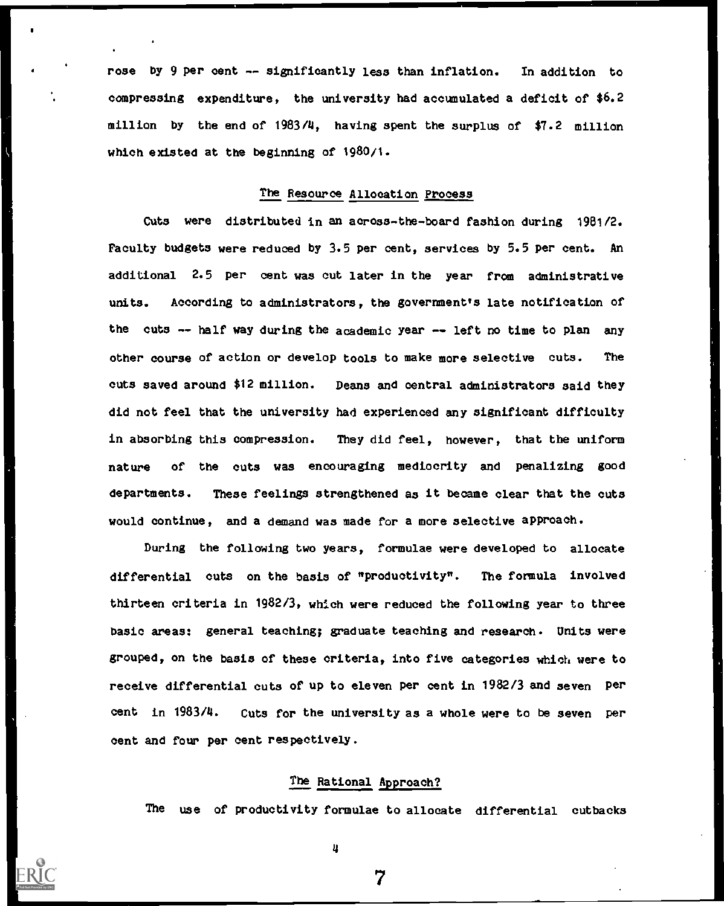rose by 9 per cent -- significantly less than inflation. In addition to compressing expenditure, the university had accumulated a deficit of \$6.2 million by the end of 1983/4, having spent the surplus of \$7.2 million which existed at the beginning of 1980/1.

## The Resource Allocation Process

Cuts were distributed in an across-the-board fashion during 1981/2. Faculty budgets were reduced by 3.5 per cent, services by 5.5 per cent. An additional 2.5 per cent was cut later in the year from administrative units. According to administrators, the government's late notification of the cuts  $\leftarrow$  half way during the academic year  $\leftarrow$  left no time to plan any other course of action or develop tools to make more selective cuts. The cuts saved around \$12 million. Deans and central administrators said they did not feel that the university had experienced any significant difficulty in absorbing this compression. They did feel, however, that the uniform nature of the cuts was enoouraging mediocrity and penalizing good departments. These feelings strengthened as it became clear that the cuts would continue, and a demand was made for a more selective approach.

During the following two years, formulae were developed to allocate differential cuts on the basis of "productivity". The formula involved thirteen criteria in 1982/3, which were reduced the following year to three basic areas: general teaching; graduate teaching and research. Units were grouped, on the basis of these criteria, into five categories which were to receive differential cuts of up to eleven per cent in 1982/3 and seven per cent in 1983/4. Cuts for the university as a whole were to be seven per cent and four per cent respectively.

## The Rational Approach?

The use of productivity formulae to allocate differential cutbacks

7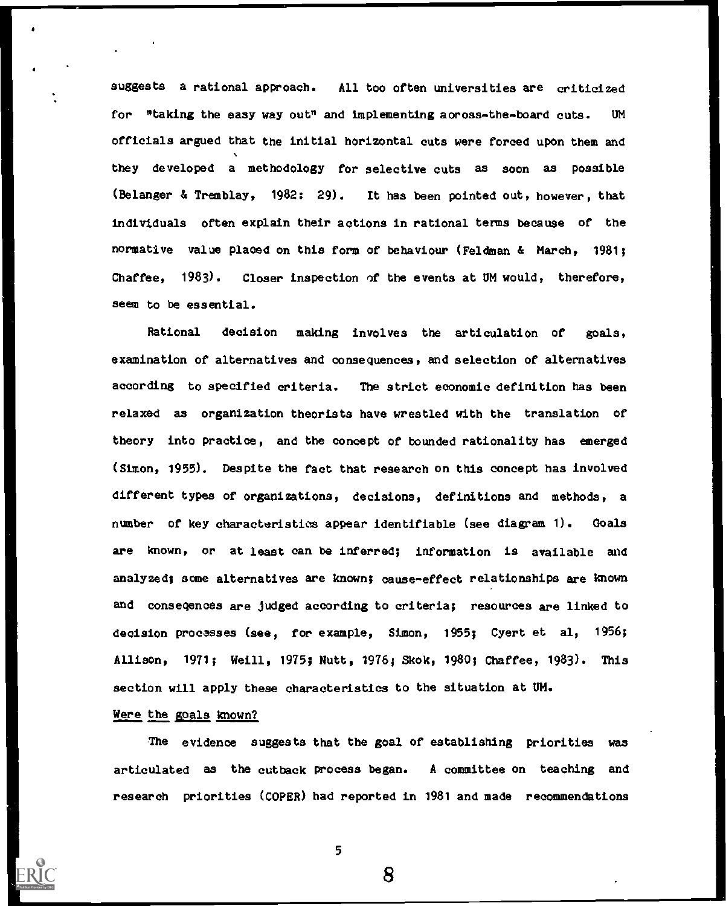suggests a rational approach. All too often universities are criticized for "taking the easy way out" and implementing across-the-board cuts. UM officials argued that the initial horizontal cuts were forced upon them and they developed a methodology for selective cuts as soon as possible (Belanger & Tremblay, 1982: 29). It has been pointed out, however, that individuals often explain their actions in rational terms because of the normative value placed on this form of behaviour (Feldman & March, 1981; Chaffee, 1983). Closer inspection of the events at UM would, therefore, seem to be essential.

Rational decision making involves the articulation of goals, examination of alternatives and consequences, and selection of alternatives according to specified criteria. The strict economic definition has been relaxed as organization theorists have wrestled with the translation of theory into practice, and the concept of bounded rationality has emerged (Simon, 1955). Despite the fact that research on this concept has involved different types of organizations, decisions, definitions and methods, a number of key characteristics appear identifiable (see diagram 1). Goals are known, or at least can be inferred; information is available and analyzed; some alternatives are known; cause-effect relationships are known and conseqences are judged according to criteria; resources are linked to decision processes (see, for example, Simon, 1955; Cyert et al, 1956; Allison, 1971; Weill, 1975; Nutt, 1976; Skok, 1980; Chaffee, 1983). This section will apply these characteristics to the situation at UM.

### Were the goals known?

The evidence suggests that the goal of establishing priorities was articulated as the cutback process began. A committee on teaching and research priorities (COPER) had reported in 1981 and made recommendations

8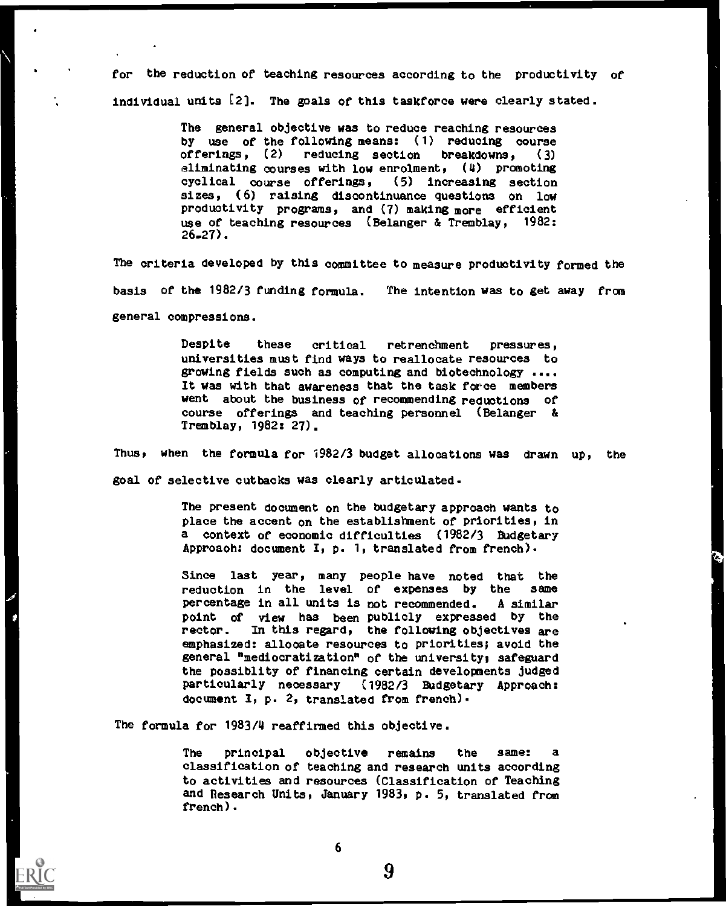for the reduction of teaching resources according to the productivity of individual units [2]. The goals of this taskforce were clearly stated.

> The general objective was to reduce reaching resources by use of the following means: (1) reducing course offerings, (2) reducing section breakdowns, (3) eliminating courses with low enrolment, (4) promoting cyclical course offerings, (5) increasing section sizes, (6) raising discontinuance questions on low productivity programs, and (7) making more efficient use of teaching resources (Belanger & Tremblay, 1982: 26-27).

The criteria developed by this committee to measure productivity formed the basis of the 1982/3 funding formula. The intention was to get away from general compressions.

> Despite these critical retrenchment pressures, universities must find ways to reallocate resources to growing fields such as computing and biotechnology .... It was with that awareness that the task force members went about the business of recommending reductions of course offerings and teaching personnel (Belanger & Tremblay, 1982: 27).

Thus, when the formula for 1982/3 budget allocations was drawn up, the goal of selective cutbacks was clearly articulated.

> The present document on the budgetary approach wants to place the accent on the establishment of priorities, in a context of economic difficulties (1982/3 Budgetary Approach: document  $I$ ,  $p$ . 1, translated from french).

> Since last year, many people have noted that the reduction in the level of expenses by the same percentage in all units is not recommended. A similar point of view has been publicly expressed by the rector. In this regard, the following objectives are emphasized: allocate resources to priorities; avoid the general "mediocratization" of the university; safeguard the possiblity of financing certain developments judged particularly necessary (1982/3 Budgetary Approach: document I, p. 2, translated from french).

The formula for 1983/4 reaffirmed this objective.

The principal objective remains the same: a classification of teaching and research units according to activities and resources (Classification of Teaching and Research Units, January 1983, p. 5, translated from french).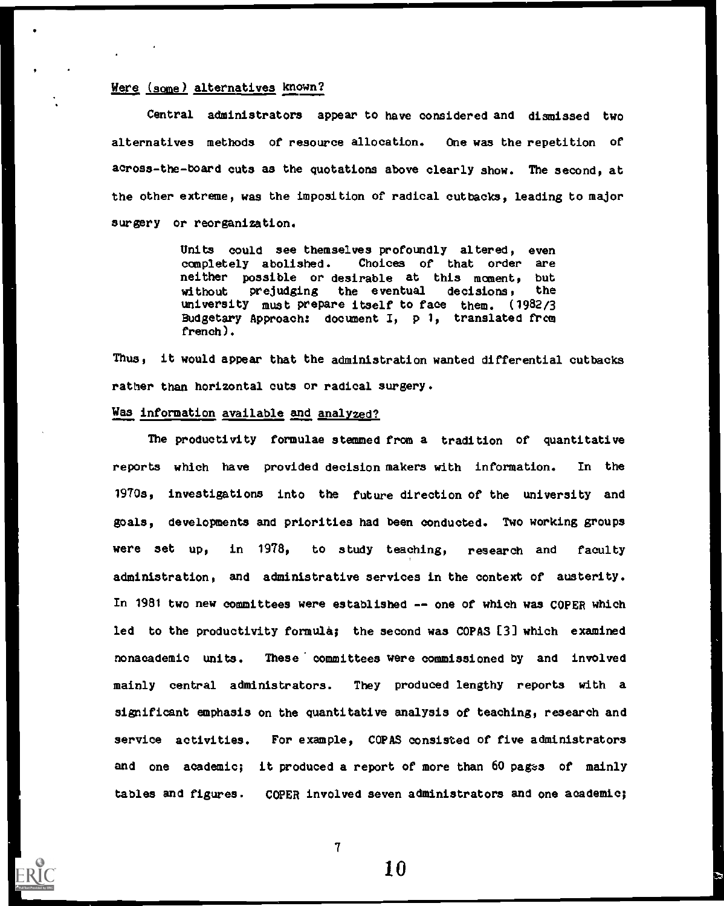#### Were (some) alternatives known?

Central administrators appear to have considered and dismissed two alternatives methods of resource allocation. One was the repetition of across-the-board cuts as the quotations above clearly show. The second, at the other extreme, was the imposition of radical cutbacks, leading to major surgery or reorganization.

> Units could see themselves profoundly altered, even completely abolished. Choices of that order are neither possible or desirable at this moment, but without prejudging the eventual decisions, the university must prepare itself to face them. (1982/3 Budgetary Approach: document I, p 1, translated from french).

Thus, it would appear that the administration wanted differential cutbacks rather than horizontal cuts or radical surgery.

## Was information available and analyzed?

The productivity formulae stemmed from a tradition of quantitative reports which have provided decision makers with information. In the 1970s, investigations into the future direction of the university and goals, developments and priorities had been conducted. Two working groups were set up, in 1978, to study teaching, research and faculty administration, and administrative services in the context of austerity. In 1981 two new committees were established -- one of which was COPER which led to the productivity formula; the second was COPAS [3] which examined nonacademic units. These committees were commissioned by and involved mainly central administrators. They produced lengthy reports with a significant emphasis on the quantitative analysis of teaching, research and service activities. For example, COPAS consisted of five administrators and one academic; it produced a report of more than  $60$  pages of mainly tables and figures. COPER involved seven administrators and one academic;

7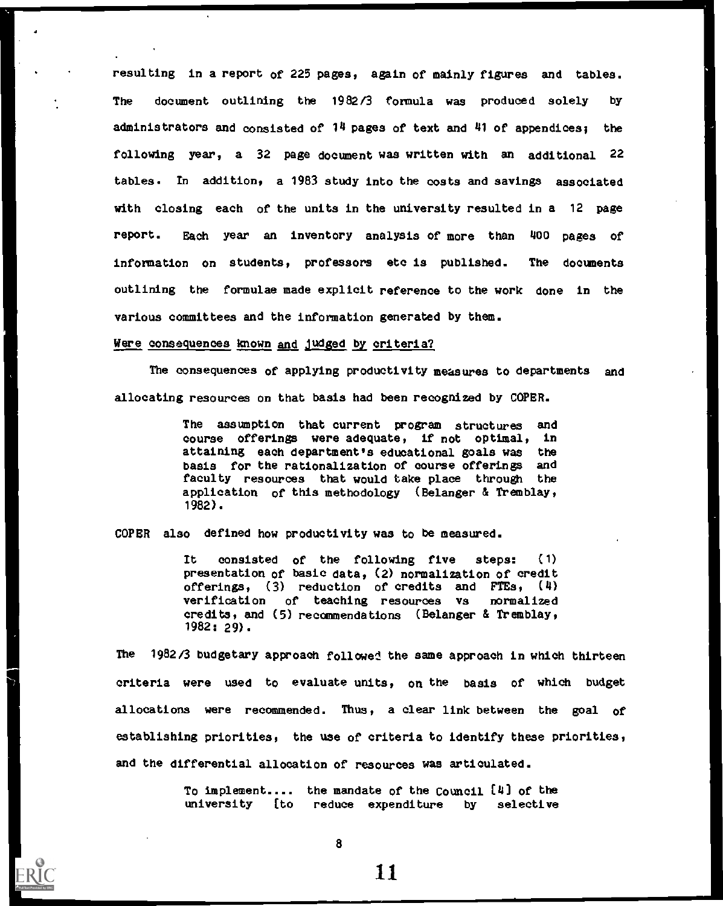resulting in a report of 225 pages, again of mainly figures and tables. The document outlining the 1982/3 formula was produced solely by administrators and consisted of  $14$  pages of text and  $41$  of appendices; the following year, a 32 page document was written with an additional 22 tables. In addition, a 1983 study into the costs and savings associated with closing each of the units in the university resulted in a 12 page report. Each year an inventory analysis of more than 400 pages of information on students, professors etc is published. The documents outlining the formulae made explicit reference to the work done in the various committees and the information generated by them.

### Were consequences known and judged by criteria?

The Consequences of applying productivity measures to departments and allocating resources on that basis had been recognized by COPER.

> The assumption that current program structures and course offerings were adequate, if not optimal, in attaining each department's educational goals was the basis for the rationalization of course offerings and faculty resources that would take place through the application of this methodology (Belanger & Tremblay, 1982).

COPER also defined how productivity was to be measured.

/t consisted of the following five steps: (1) presentation of basic data, (2) normalization of credit offerings,  $(3)$  reduction of credits and FTEs,  $(4)$ verification of teaching resources vs normalized credits, and (5) recommendations (Belanger & Tremblay, 1982: 29).

The 1982/3 budgetary approach followed the same approach in which thirteen criteria were used to evaluate units, on the basis of which budget allocations were recommended. Thus, a clear link between the goal of establishing priorities, the use of criteria to identify these priorities, and the differential allocation of resources was articulated.

> To implement.... the mandate of the Council [4] of the university Ito reduce expenditure by selective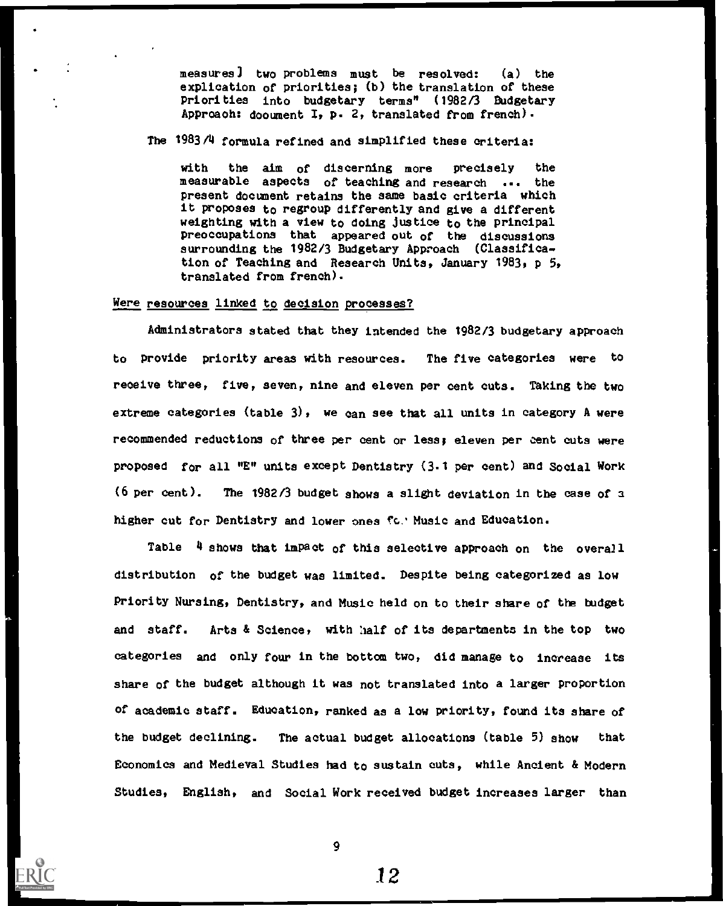measures] two problems must be resolved: (a) the explication of priorities; (b) the translation of these priorities into budgetary terms" (1982/3 Budgetary Approach: document I, p. 2, translated from french).

The 1983/4 formula refined and simplified these criteria:

with the aim of discerning more precisely the measurable aspects of teaching and research ... the Present document retains the same basic criteria which it proposes to regroup differently and give a different weighting with a view to doing justice to the principal preoccupations that appeared out of the discussions surrounding the 1982/3 Budgetary Approach (Classification of Teaching and Research Units, January 1983,  $p$  5, translated from french).

## Were resources linked to decision processes?

Administrators stated that they intended the 1982/3 budgetary approach to Provide priority areas with resources. The five categories were to receive three, five, seven, nine and eleven per cent cuts. Taking the two extreme categories (table 3), we can see that all units in category A were recommended reductions of three per cent or less; eleven per cent cuts were proposed for all "E" units except Dentistry (3.1 per cent) and Social Work (6 per cent). The 1982/3 budget shows a slight deviation in the case of a higher cut for Dentistry and lower ones fc.' Music and Education.

Table 4 shows that impact of this selective approach on the overall distribution of the budget was limited. Despite being categorized as low Priority Nursing, Dentistry, and Music held on to their share of the budget and staff. Arts & Science, with half of its departments in the top two categories and only four in the bottom two, did manage to increase its share of the budget although it was not translated into a larger Proportion of academic staff. Education, ranked as a low priority, found its share of the budget declining. The actual budget allocations (table 5) show that Economics and Medieval Studies had to sustain cuts, while Ancient & Modern Studies, English, and Social Work received budget increases larger than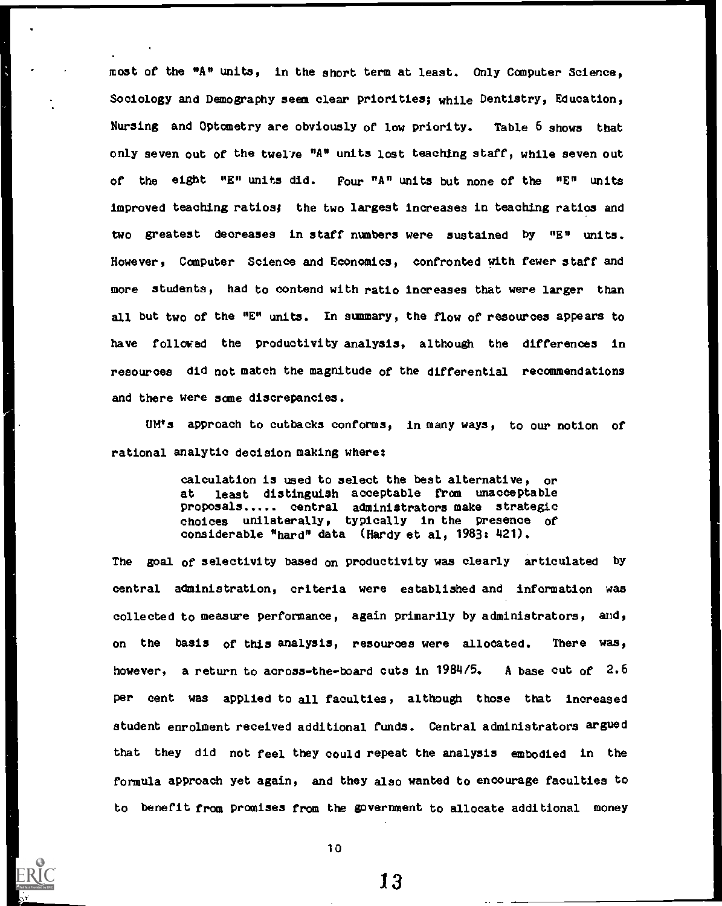most of the "A" units, in the short term at least. Only Computer Science, Sociology and Demography seem clear priorities; while Dentistry, Education, Nursing and Optometry are obviously of low priority. Table 6 shows that only seven out of the twelve "A" units lost teaching staff, while seven out of the eight "E" units did. Four "A" units but none of the "E" units improved teaching ratios; the two largest increases in teaching ratios and two greatest decreases in staff numbers were sustained by "E" units. However, Conputer Science and Economics, confronted with fewer staff and more students, had to contend with ratio increases that were larger than all but two of the "E" units. In stamary, the flow of resources appears to have followed the productivity analysis, although the differences in resources did not match the magnitude of the differential recommendations and there were some discrepancies.

UM's approach to cutbacks conforms, in many ways, to our notion of rational analytic decision making where:

> calculation is used to select the best alternative, or at least distinguish acceptable fron unacceptable proposals..... central administrators make strategic choices unilaterally, typically in the presence of considerable "hard" data (Hardy et al,  $1983: 421$ ).

The goal of selectivity based on productivity was clearly articulated by central administration, criteria were established and information was collected to measure performance, again primarily by administrators, and, on the basis of this analysis, resources were allocated. There was, however, a return to across-the-board cuts in 1984/5. A base cut of 2.6 per cent was applied to all faculties, although those that increased student enrolment received additional funds. Central administrators argued that they did not feel they could repeat the analysis embodied in the formula approach yet again, and they also wanted to encourage faculties to to benefit from promises from the government to allocate additional money

10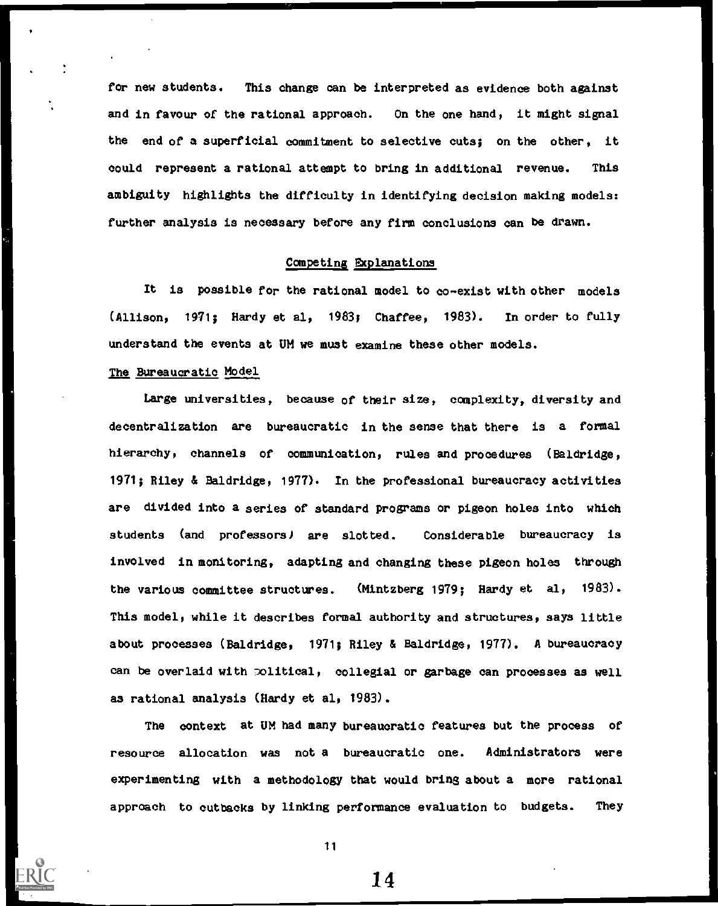for new students. This change can be interpreted as evidence both against and in favour of the rational approach. On the one hand, it might signal the end of a superficial commitment to selective cuts; on the other, it could represent a rational attempt to bring in additional revenue. This ambiguity highlights the difficulty in identifying decision making models: further analysis is necessary before any firm conclusions can be drawn.

### Competing Explanations

It is possible for the rational model to co-exist with other models (Allison, 1971; Hardy et al, 1983; Chaffee, 1983). In order to fully understand the events at UM we must examine these other models.

#### The Bureaucratic Model

 $\frac{1}{\mathbf{p}_\mathrm{d}^2}$ 

Large universities, because of their size, complexity, diversity and decentralization are bureaucratic in the sense that there is a formal hierarchy, channels of communication, rules and procedures (Baldridge, 1971; Riley & Baldridge, 1977). In the professional bureaucracy activities are divided into a series of standard programs or pigeon holes into which students (and professors) are slotted. Considerable bureaucracy is involved in monitoring, adapting and changing these pigeon holes through the various committee structures. (Mintzberg 1979; Hardy et al, 1983). This model, while it describes formal authority and structures, says little about processes (Baldridge, 1971; Riley & Baldridga, 1977). A bureaucracy can be overlaid with political, collegial or gartege can processes as well as rational analysis (Hardy et al, 1983).

The context at UM had many bureaucratic features but the process of resource allocation was not a bureaucratic one. Administrators were experimenting with a methodology that would bring about a more rational approach to cutbacks by linking performance evaluation to budgets. They

11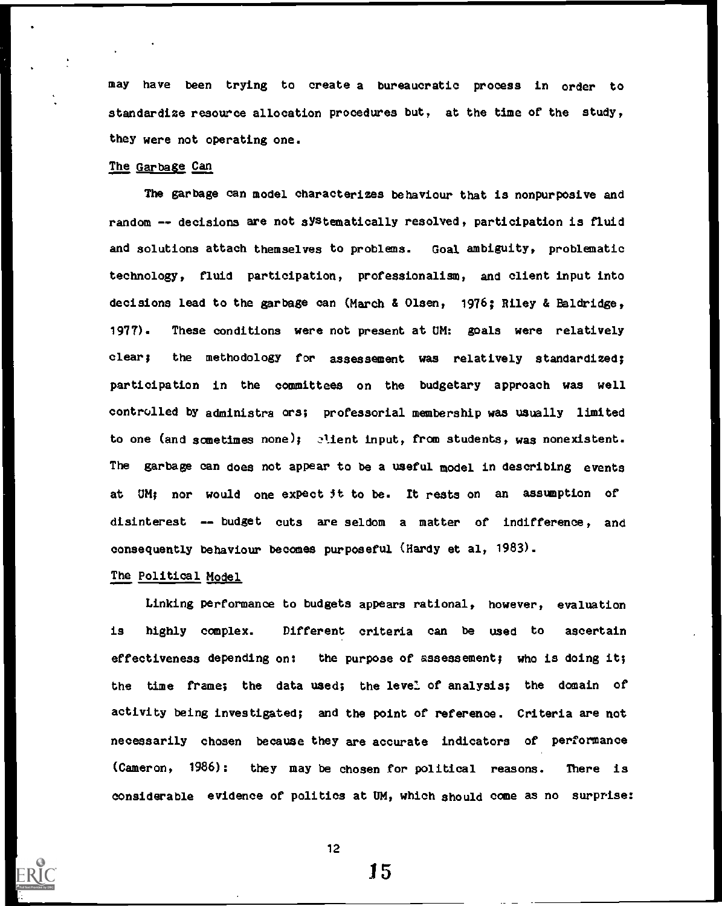may have been trying to create a bureaucratic process in order to standardize resource allocation procedures but, at the time of the study, they were not operating one.

## The Garbage Can

The garbage can model characterizes behaviour that is nonpurposive and random -- decisions are not sYstematically resolved, participation is fluid and solutions attach themselves to problems. Goal ambiguity, problematic technology, fluid participation, professionalism, and client input into decisions lead to the garbage can (March & Olsen, 1976; Riley & Haldridge, 1977). These conditions were not present at UM: goals were relatively clear; the methodology for assessement was relatively standardized; participation in the committees on the budgetary approach was well controlled by administra ors; professorial membership was usually limited to one (and sometimes none);  $\therefore$  lient input, from students, was nonexistent. The garbage can does not appear to be a useful model in describing events at UM; nor would one expect it to be. It rests on an assumption of disinterest -- budget cuts are seldom a matter of indifference, and consequently behaviour becomes purposeful (Hardy et al, 1983).

## The Political Model

Linking performance to budgets appears rational, however, evaluation is highly cceplex. Different criteria can be used to ascertain effectiveness depending on: the purpose of assessement; who is doing it; the time frame; the data used; the level of analysis; the domain of activity being investigated; and the point of reference. Criteria are not necessarily chosen because they are accurate indicators of performance (Cameron, 1986): they may be chosen for political reasons. There is considerable evidence of politics at UM, which should come as no surprise:

12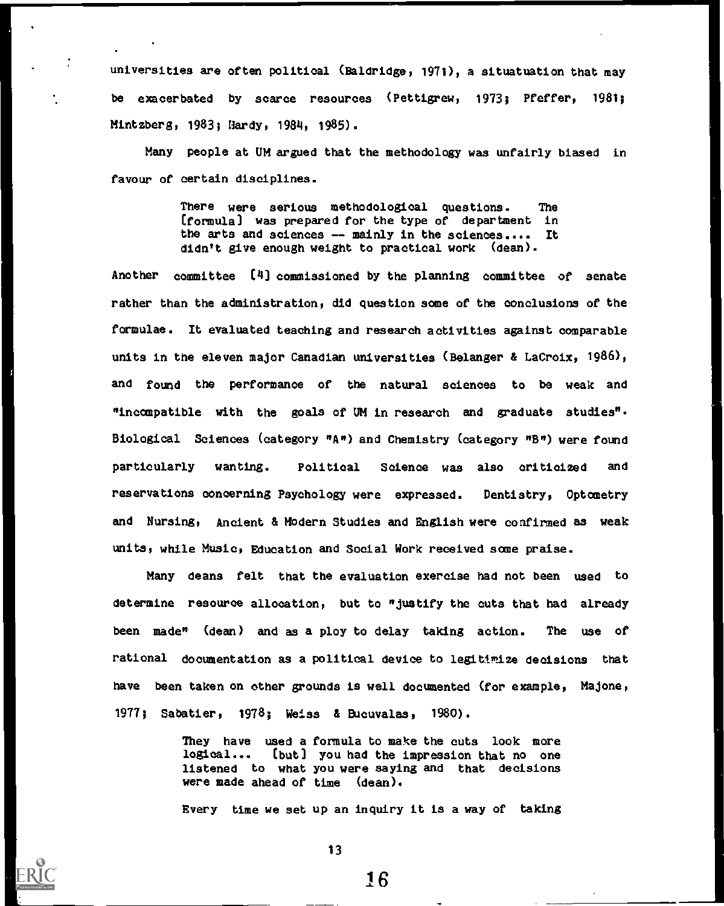universities are often political (Baldridge, 1971), a situatuation that may be exacerbated by scarce resources (Pettigrew, 1973; Pfeffer, 1981; Mintzberg, 1983; Hardy, 1984, 1985).

Many people at UM argued that the methodology was unfairly biased in favour of certain disciplines.

> There were serious methodological questions. The (formula] was prepared for the type of department in the arts and sciences -- mainly in the sciences.... It didn't give enough weight to practical work (dean).

Another committee  $[4]$  commissioned by the planning committee of senate rather than the administration, did question some of the conclusions of the formulae. It evaluated teaching and research activities against comparable units in the eleven major Canadian universities (Belanger & LaCroix, 1986), and found the performance of the natural sciences to be weak and "inccepatible with the goals of UM in research and graduate studies". Biological Sciences (category  $n_A n$ ) and Chemistry (category  $n_B n$ ) were found particularly wanting. Political Science was also criticized and reservations concerning Psychology were expressed. Dentistry, Optometry and Nursing, Ancient & Modern Studies and English were confirmed as weak units, while Music, Education and Social Work received acme praise.

Many deans felt that the evaluation exercise had not been used to determine resource allocation, but to "justify the cuts that had already been made" (dean) and as a ploy to delay taking action. The use of rational documentation as a political device to legitimize decisions that have been taken on other grounds is well documented (for example, Majone, 1977; Sabatier, 1978; Weiss & Bucuvalas, 1980).

> They have used a formula to make the outs look more logical... (but) you had the impression that no one listened to what you were saying and that decisions were made ahead of time (dean).

> Every time we set up an inquiry it is a way of taking

13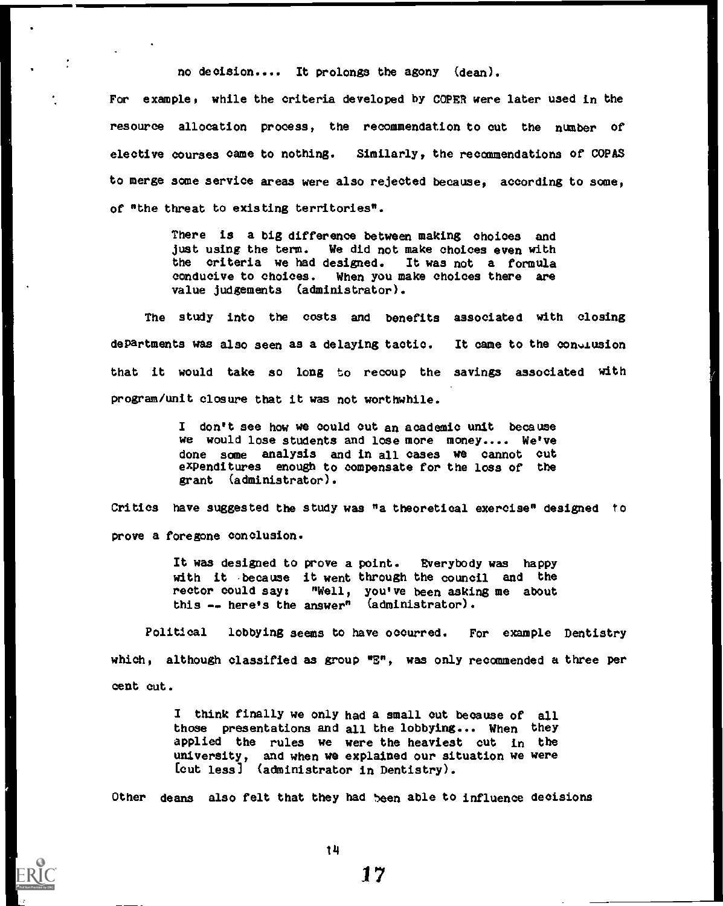no decision.... It prolongs the agony (dean).

For example, while the criteria developed by COPER were later used in the resource allocation process, the recommendation to cut the number of elective courses came to nothing. Similarly, the recommendations of COPAS to merge some service areas were also rejected because, according to some, of "the threat to existing territories".

> There is a big difference between making choices and just using the term. We did not make choices even with the criteria we had designed. It was not a formula conducive to choices. When you make choices there are value judgements (administrator).

The study into the costs and benefits associated with closing departments was also seen as a delaying tactic. It came to the comausion that it would take so long to recoup the savings associated with program/unit closure that it was not worthwhile.

> I don't see how we could cut an academic unit because we would lose students and lose more money.... We've done some analysis and in all cases we cannot cut expenditures enough to compensate for the loss of the grant (administrator).

Critics have suggested the study was  $n_a$  theoretical exercise" designed to prove a foregone conclusion.

> It was designed to prove a point. Everybody was happy with it because it went through the council and the rector could says "Well, you've been asking me about this -- here's the answer" (administrator).

Political lobbying seems to have occurred. For example Dentistry which, although classified as group  $E<sup>n</sup>$ , was only recommended a three per cent cut.

> I think finally we only had a small cut because of all those presentations and all the lobbying... When they applied the rules we were the heaviest cut in the university, and when we explained our situation we were (cut less] (administrator in Dentistry).

Other deans also felt that they had been able to influence decisions

Ill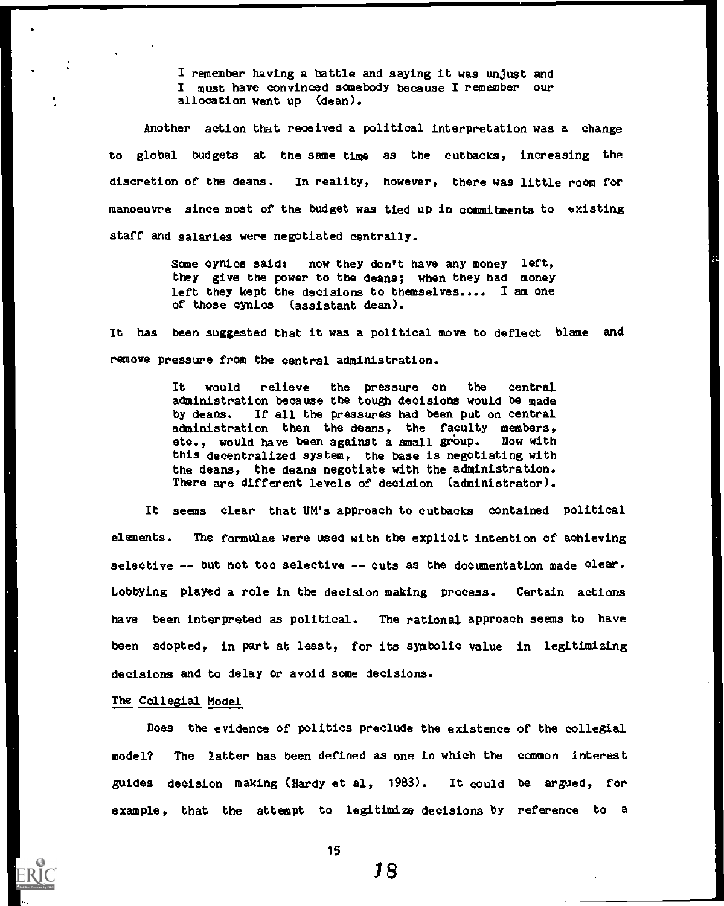I remember having a battle and saying it was unjust and I must have convinced somebody because I remember our allocation went up (dean).

Another action that received a political interpretation was a change to global budgets at the same time as the cutbacks, increasing the discretion of the deans. In reality, however, there was little room for manoeuvre since most of the budget was tied up in commitments to existing staff and salaries were negotiated centrally.

> Some cynics said: now they don't have any money left, they give the power to the deans; when they had money left they kept the decisions to themselves.... I am one of those cynics (assistant dean).

It has been suggested that it was a political move to deflect blame and remove pressure from the central administration.

> It would relieve the pressure on the central administration because the tough decisions would be made by deans. If all the pressures had been put on central administration then the deans, the faculty members, etc., would have been against a small group. Now with this decentralized system, the base is negotiating with the deans, the deans negotiate with the administration. There are different levels of decision (administrator).

It seems clear that UM's approach to cutbacks contained political elements. The formulae were used with the explicit intention of achieving selective -- but not too selective -- cuts as the documentation made clear. Lobbying played a role in the decision making process. Certain actions have been interpreted as political. The rational approach seems to have been adopted, in part at least, for its symbolic value in legitimizing decisions and to delay or avoid some decisions.

The Collegial Model

Does the evidence of politics preclude the existence of the collegial model? The /atter has been defined as one in which the common interest guides decision making (Hardy et al, 1983). It could be argued, for example, that the attempt to legitimize decisions by reference to a

15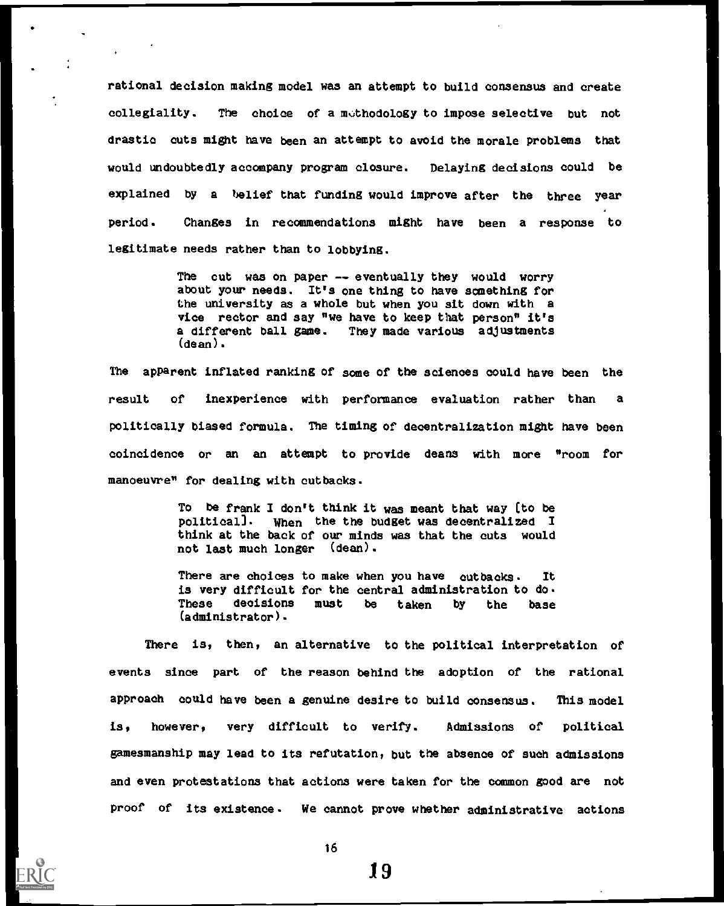rational decision making model was an attempt to build consensus and create collegiality. The choice of a mothodology to impose selective but not drastic outs might have been an attempt to avoid the morale problems that would undoubtedly accompany program closure. Delaying decisions could be explained by a belief that funding would improve after the three year period. Changes in reconmendations might have been a response to legitimate needs rather than to lobbying.

> The cut was on paper -- eventually they would worry about your needs. It's one thing to have something for the university as a whole but when you sit down with a vice rector and say "we have to keep that person" it's a different ball game. They made various adjustments (dean).

The apparent inflated ranking of some of the sciences could have been the result of inexperience with performance evaluation rather than a politically biased formula. The timing of decentralization might have been coincidence or an an attempt to provide deans with more "room for manoeuvre" for dealing with cutbacks.

> To be frank I don't think it was meant that way (to be political]. When the the budget was decentralized I think at the back of our minds was that the cuts would not last much longer (dean).

> There are choices to make when you have cutbacks. It is very difficult for the central administration to do. These decisions must be taken by the base (administrator).

There is, then, an alternative to the political interpretation of events since part of the reason behind the adoption of the rational approach could have been a genuine desire to build consensus. This model is, however, very difficult to verify. Admissions of political gamesmanship may lead to its refutation, but the absence of such admissions and even protestations that actions were taken for the common good are not proof of its existence. We cannot prove whether administrative actions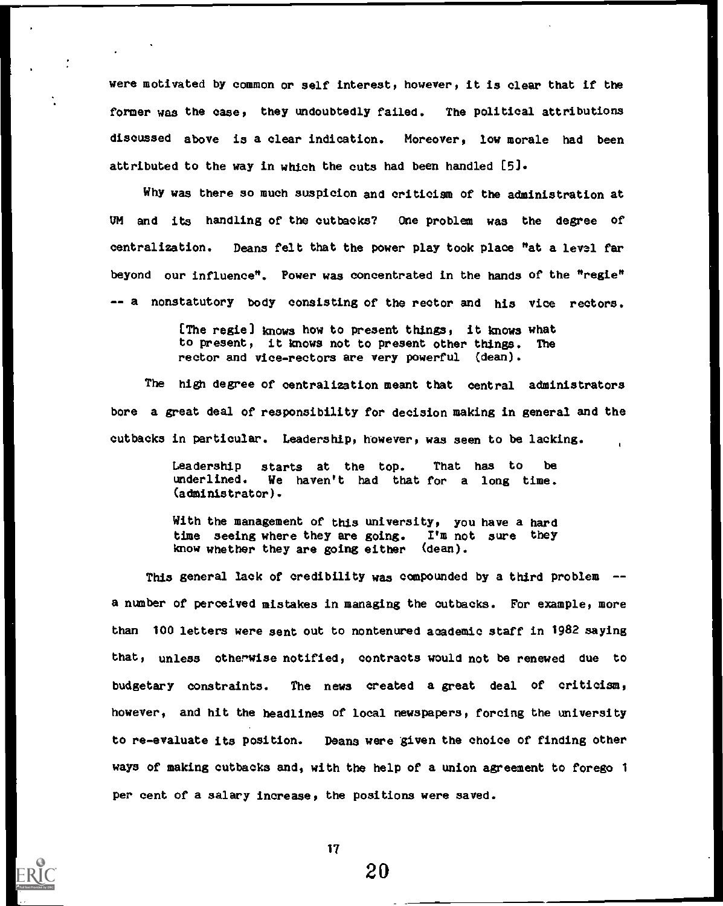were motivated by common or self interest, however, it is clear that if the former was the case, they undoubtedly failed. The political attributions discussed above is a clear indication. Moreover, low morale had been attributed to the way in which the cuts had been handled  $[5]$ .

Why was there so much suspicion and criticism of the administration at UM and ite handling of the cutbacks? One problem was the degree of centralization. Deans felt that the power play took place "at a level far beyond our influence". Power was concentrated in the hands of the "regie" -- a nonstatutory body consisting of the rector and his vice rectors.

> [The regie] knows how to present things, it knows what to present, it knows not to present other things. The rector and vice-rectors are very powerful (dean).

The high degree of centralization meant that central administrators bore a great deal of responsibility for decision making in general and the cutbacks in particular. Leadership, however, was seen to be lacking.

> Leadership starts at the top. That has to be underlined. We haven't had that for a long time. (administrator).

> With the management of this university, you have a hard time seeing where they are going. I'm not sure they know whether they are going either (dean).

This general lack of credibility was compounded by a third problem  $$ a number of perceived mistakes in managing the cutbacks. For example, more than 100 letters were sent out to nontenured academic staff in 1982 saying that, unless otherwise notified, contracts would not be renewed due to budgetary constraints. The news created a great deal of criticism, however, and hit the headlines of local newspapers, forcing the university to re-evaluate its position. Deans were given the choice of finding other ways of making cutbacks and, with the help of a union agreement to forego 1 per cent of a salary increase, the positions were saved.

17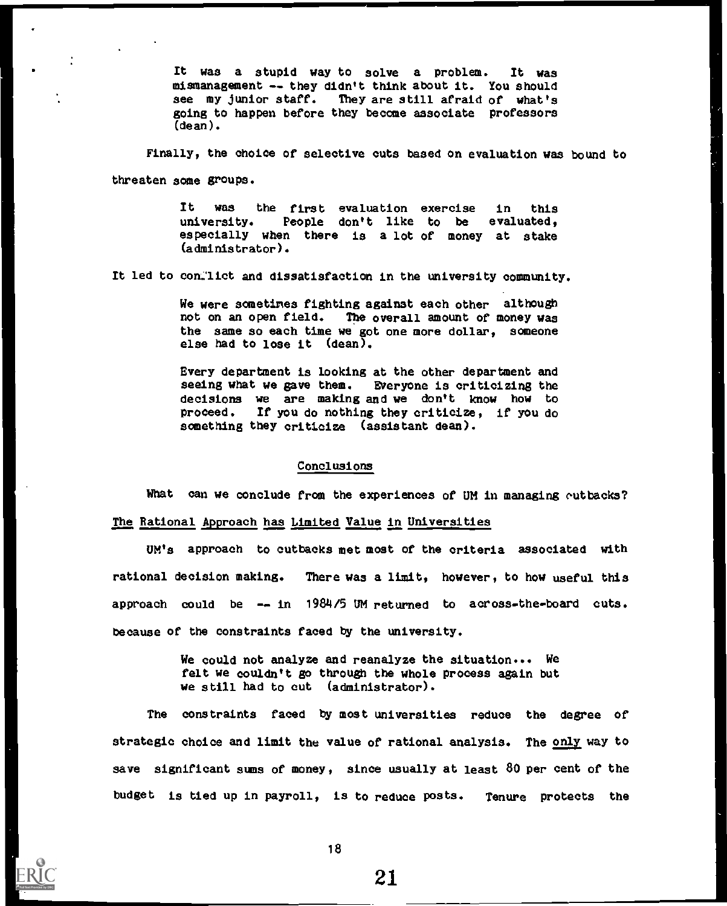It was a stupid way to solve a problem. It was mismanagement -- they didn't think about it. You should see my junior staff. They are still afraid of what's going to happen before they become associate professors (dean).

Finally, the choice of selective cuts based on evaluation was bound to threaten some groups.

> It was the first evaluation exercise in this university. People don't like to be evaluated, especially when there is a lot of money at stake (administrator).

It led to con. lict and dissatisfaction in the university community.

We were sometimes fighting against each other although not on an open field. The overall amount of money was the same so each time we got one more dollar, someone else bad to lose it (dean).

Every department is looking at the other department and seeing what we gave them. Everyone is criticizing the decisions we are making and we don't know how to proceed. If you do nothing they criticize, if you do something they criticize (assistant dean).

## Conclusions

What can we conclude from the experiences of UM in managing outbacks?

## The Rational Approach has Limited Value in Universities

UM's approach to cutbacks met most of the criteria associated with rational decision making. There was a limit, however, to how useful this approach could be -- in 1984/5 UM returned to across-the-board outs. because of the constraints faced by the university.

> We could not analyze and reanalyze the situation... We felt we oouldn't go through the whole process again but we still bad to out (administrator).

The constraints faced by most universities reduce the degree of strategic choioe and limit the value of rational analysis. The only way to save significant sums of money, since usually at least 80 per cent of the budget is tied up in payroll, is to reduce posts. Tenure protects the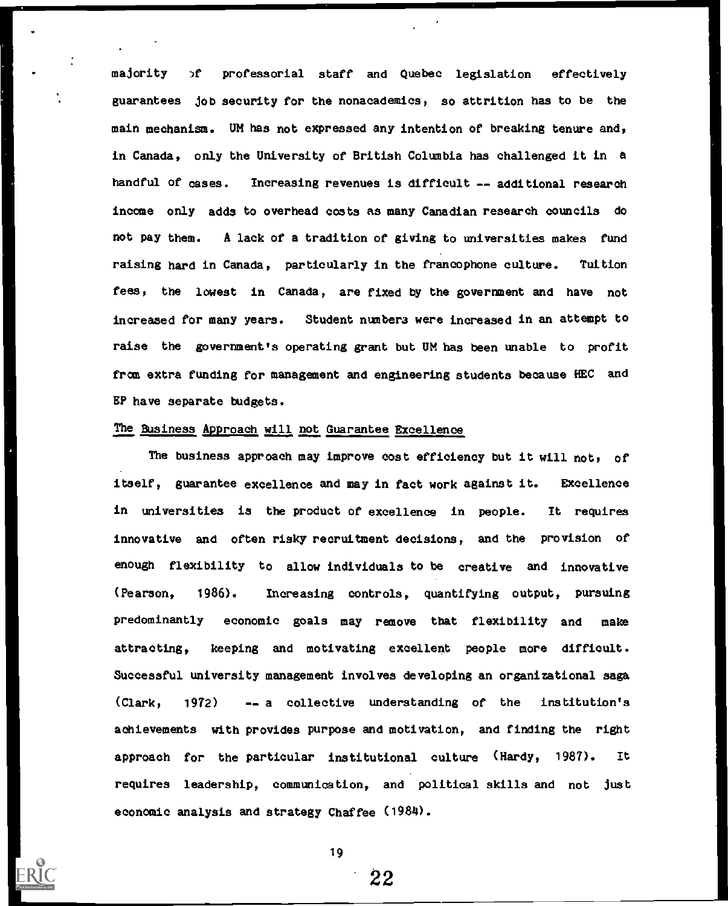majority )f professorial staff and Quebec legislation effectively guarantees job security for the nonacademics, so attrition has to be the main mechanism. UM has not expressed any intention of breaking tenure and, in Canada, only the University of British Columbia has challenged it in a handful of cases. Increasing revenues is difficult -- additional research income only adds to overhead costs as many Canadian research councils do not pay them. A lack of a tradition of giving to universities makes fund raising hard in Canada, particularly in the francophone culture. Tuition fees, the lowest in Canada, are fixed by the government and have not increased for many years. Student numbera were increased in an attempt to raise the government's operating grant but UM has been unable to profit from extra funding for management and engineering students because HEC and EP have separate budgets.

## The Business Approach will not Guarantee Excellence

The business approach may improve cost efficiency but it will not, of itself, guarantee excellence and may in fact work against it. Excellence in universities is the product of excellence in people. It requires innovative and often risky recruitment decisions, and the provision of enough flexibility to allow individuals to be creative and innovative (Pearson, 1986). Increasing controls, quantifying output, pursuing predominantly economic goals may remove that flexibility and make attracting, keeping and motivating excellent people more difficult. Successful university management involves developing an organizational saga (Clark, 1972) -- a collective understanding of the institution's achievements with provides purpose and motivation, and finding the right approach for the particular institutional culture (Hardy, 1987). It requires leadership, communication, and political skills and not just economic analysis and strategy Chaffee (1984).

19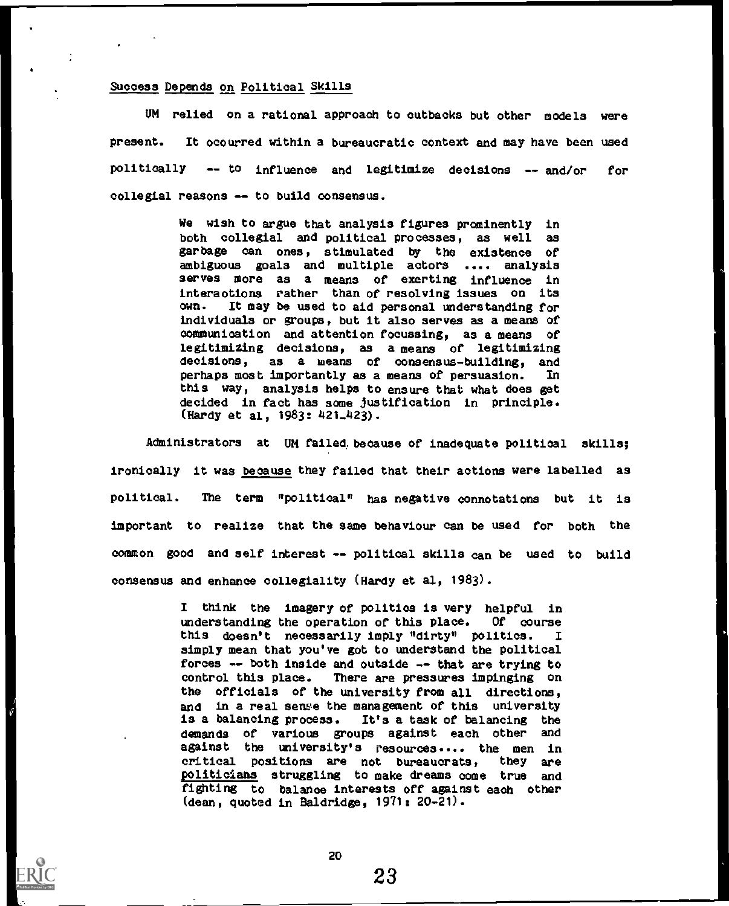### Success Depends on Political Skills

UM relied on a rational approach to cutbacks but other models were present. It ocourred within a bureaucratic context and may have been used politically -- to influence and legitimize decisions -- and/or for collegial reasons -- to build consensus.

> We wish to argue that analysis figures prominently in both collegial and political processes, as well as garbage can ones, stimulated by the existence of ambiguous goals and multiple actors .... analysis serves more as a means of exerting influence in interaotions rather than of resolving issues on its own. It may be used to aid personal understanding for individuals or groups, but it also serves as a means of communication and attention focussing, as a means of legitimizing decisions, as a means of legitimizing decisions, as a weans of consensus-building, and perhaps most importantly as a means of persuasion. In this way, analysis helps to ensure that what does get decided in fact has some justification in principle. (Hardy et al, 1983: 421-423).

Administrators at UM failed, because of inadequate political skills; ironically it was because they failed that their actions were labelled as political. The term "political" has negative connotations but it is important to realize that the same behaviour can be used for both the common good and self interest -- political skills can be used to build consensus and enhance collegiality (Hardy et al, 1983).

> I think the imagery of politics is very helpful in understanding the operation of this place. Of course this doesn't necessarily imply "dirty" politics. I simply mean that you've got to understand the political forces  $--$  both inside and outside  $--$  that are trying to control this place. There are pressures impinging on the officials of the university from all directions, and in a real sense the management of this university is a balancing process. It's a task of balancing the demands of various groups against each other and against the university's resources.... the men in critical positions are not bureaucrats, they are politicians struggling to make dreams come true and fighting to balance interests off against each other (dean, quoted in Baldridge, 1971: 20-21).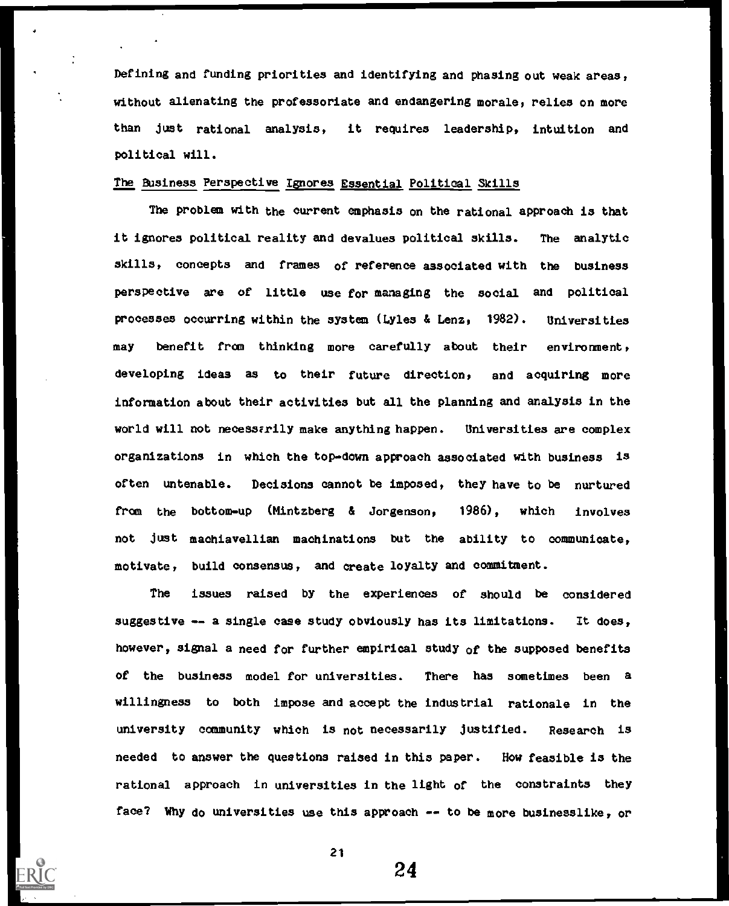Defining and funding priorities and identifying and phasing out weak areas, without alienating the professoriate and endangering morale, relies on more than just rational analysis, it requires leadership, intuition and political will.

## The Business Perspective Ignores Essential Political Skills

The problem with the current emphasis on the rational approach is that it ignores political reality and devalues political skills. The analytic skills, concepts and frames of reference associated with the business perspective are of little use for managing the social and political processes occurring within the system (Lyles & Lenz, 1982). Universities may benefit from thinking more carefully about their environment, developing ideas as to their future direction, and acquiring more information about their activities but all the planning and analysis in the world will not necesscrily make anything happen. Universities are complex organizations in which the top-down approach associated with business is often untenable. Decisions cannot be imposed, they have to be nurtured from the bottom-up (Mintzberg & Jorgenson, 1986), which involves not just machiavellian machinations but the ability to communicate, motivate, build consensus, and create loyalty and commitment.

The issues raised by the experiences of should be considered suggestive  $---$  a single case study obviously has its limitations. It does, however, signal a need for further empirical study of the supposed benefits of the business model for universities. There has sometimes been a willingness to both impose and accept the industrial rationale in the university community which is not necessarily justified. Research is needed to answer the questions raised in this paper. How feasible is the rational approach in universities in the light of the constraints they face? Why do universities use this approach -- to be more businesslike, or

21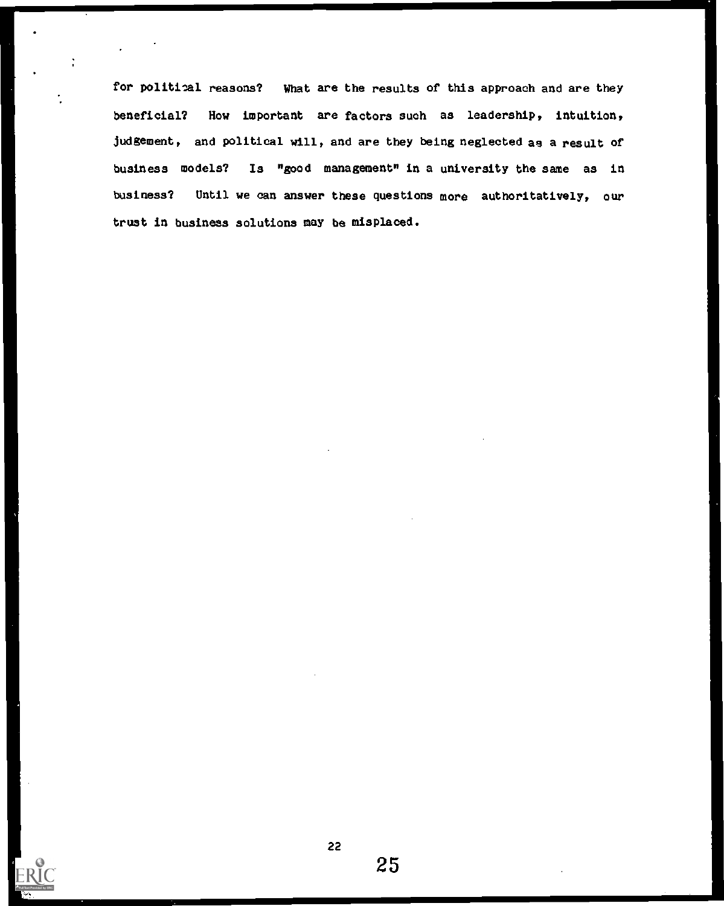for political reasons? What are the results of this approach and are they beneficial? How important are factors such as leadership, intuition, judgement, and political will, and are they being neglected as a result of business models? Is "good management" in a university the same as in business? Until we can answer these questions more authoritatively, our trust in business solutions may be misplaced.



÷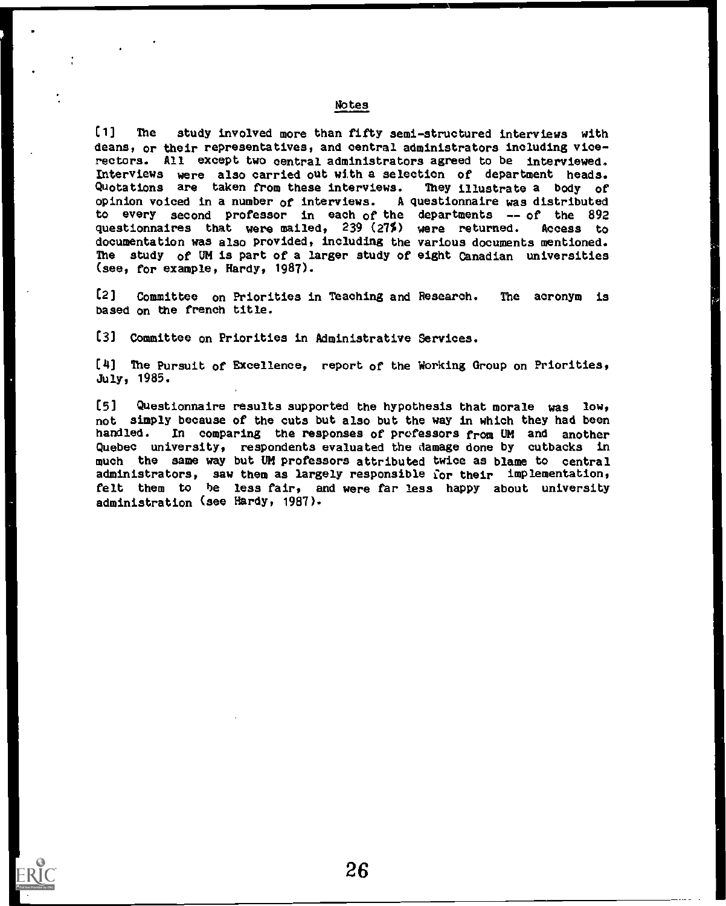[1] The study involved more than fifty semi-structured interviews with deans, or their representatives, and central administrators including vicerectors. All except two central administrators agreed to be interviewed. Interviews were also carried out with a selection of department heads. Quotations are taken from these interviews. They illustrate a body of opinion voiced in a number of interviews. A questionnaire was distributed to every second professor in each of the departments -- of the 892 questionnaires that were mailed, 239 (27%) were returned. Access to documentation was also Provided, including the various documents mentioned. The study of UM is part of a larger study of eight Canadian universities (see, for example, Hardy, 1987).

[2] Committee on Priorities in Teaching and Research. The acronym is based on the french title.

[3] Committee on Priorities in Administrative Services.

[4] The Pursuit of Excellence, report of the Working Group on Priorities, July, 1985.

[5] Questionnaire results supported the hypothesis that morale was low, not simply because of the cuts but also but the way in which they had been<br>handled. In comparing the responses of professors from UM and another In comparing the responses of professors from UM and another Quebec university, respondents evaluated the damage done by cutbacks in much the same way but UM professors attributed twice as blame to central administrators, saw them as largely responsible i'or their implementation, felt them to be less fair, and were far less happy about university administration (see Hardy, 1987).

## NOtes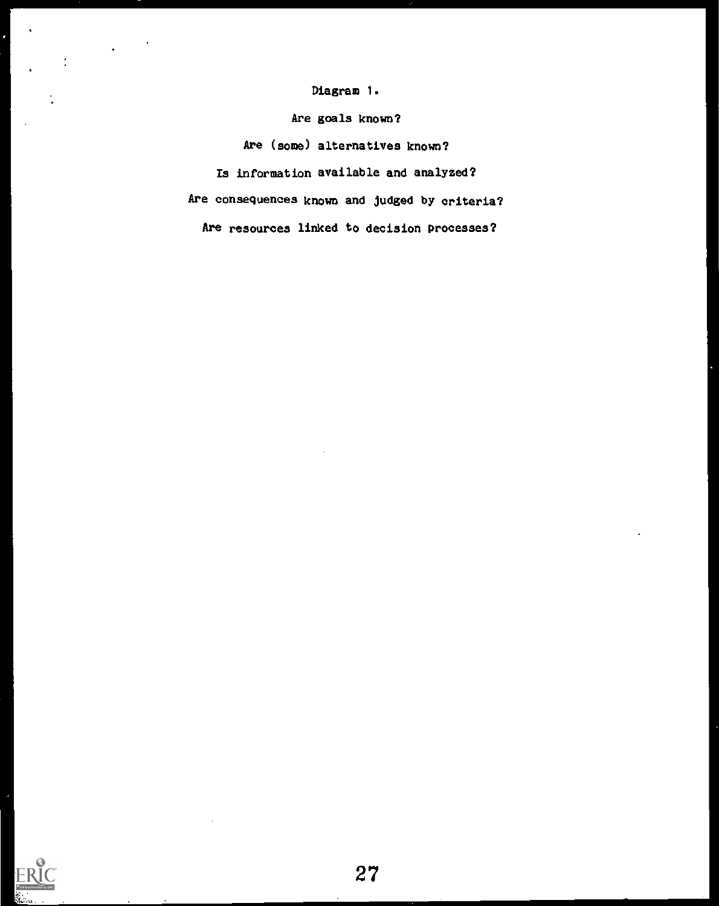# Diagram 1.

Are goals known?

Are (some) alternatives known? Is information available and analyzed? Are consequences known and judged by criteria? Are resources linked to decision processes?



 $\frac{1}{2}$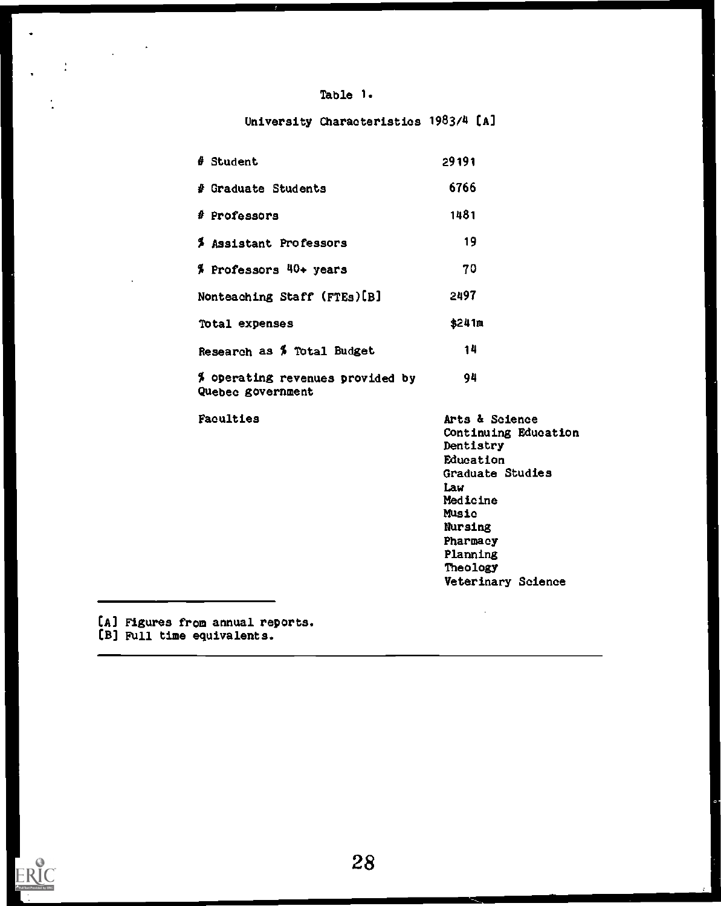## Table 1.

University Characteristics 1983/4 CA]

| # Student                                             | 29191                                                                                                    |
|-------------------------------------------------------|----------------------------------------------------------------------------------------------------------|
| # Graduate Students                                   | 6766                                                                                                     |
| # Professors                                          | 1481                                                                                                     |
| % Assistant Professors                                | 19                                                                                                       |
| % Professors 40+ years                                | 70                                                                                                       |
| Nonteaching Staff (FTEs)[B]                           | 2497                                                                                                     |
| Total expenses                                        | \$241m                                                                                                   |
| Research as % Total Budget                            | 14                                                                                                       |
| % operating revenues provided by<br>Quebec government | 94                                                                                                       |
| Faculties                                             | Arts & Science<br>Continuing Educ<br>Dentistry<br>Education<br>Graduate Studie<br>Law<br><b>Medicine</b> |

ence **.** Education Dentistry Education Studies Law Medicine Music Nursing Pharmacy Planning Theology Veterinary Science

à.

[A] Figures from annual reports.

(B) Full time equivalents.

 $\ddot{\phantom{1}}$ 

 $\sim 10^{-10}$ 

 $\sim$   $\sim$ 

 $\ddot{\cdot}$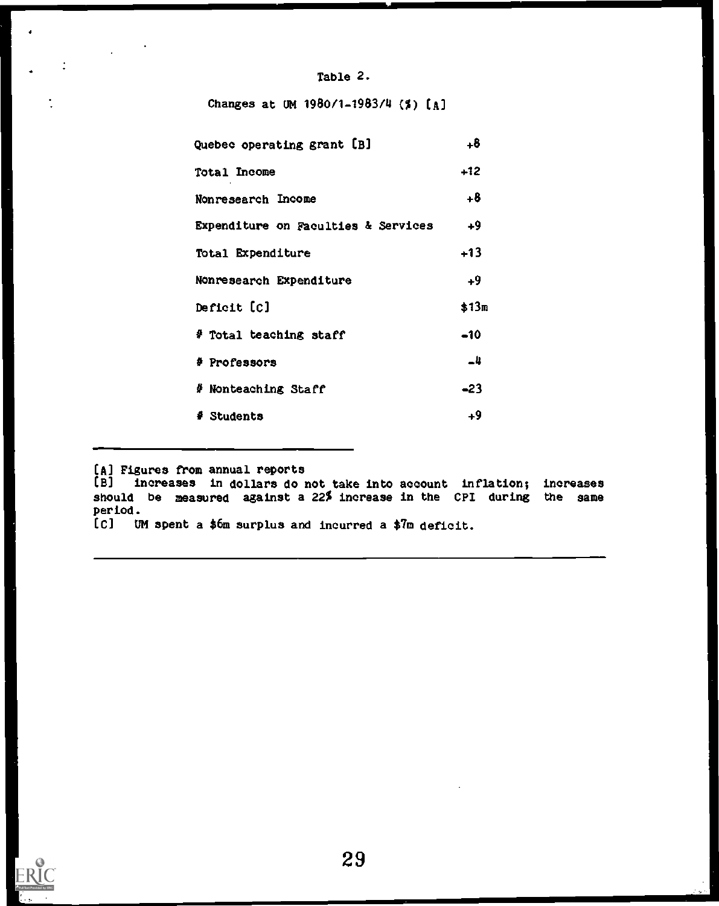| Table 2. |  |  |
|----------|--|--|
|----------|--|--|

| Quebec operating grant [B]                     | +8    |
|------------------------------------------------|-------|
| <b>Total Income</b>                            | $+12$ |
| Nonresearch Income                             | +8    |
| <b>Expenditure on Faculties &amp; Services</b> | +9    |
| <b>Total Expenditure</b>                       | $+13$ |
| <b>Nonresearch Expenditure</b>                 | +9    |
| Deficit [C]                                    | \$13m |
| # Total teaching staff                         | $-10$ |
| # Professors                                   | $-4$  |
| # Nonteaching Staff                            | $-23$ |
| <i><b>≸ Students</b></i>                       | +9    |

Changes at UM 1980/1-1983/4 (%) EA]

[A] Figures from annual reports

(83 increases in dollars do not take into account inflation; increases should be measured against a 22% increase in the CPI during the same period.

 $[{\mathbb C}]$  UM spent a \$6m surplus and incurred a \$7m deficit.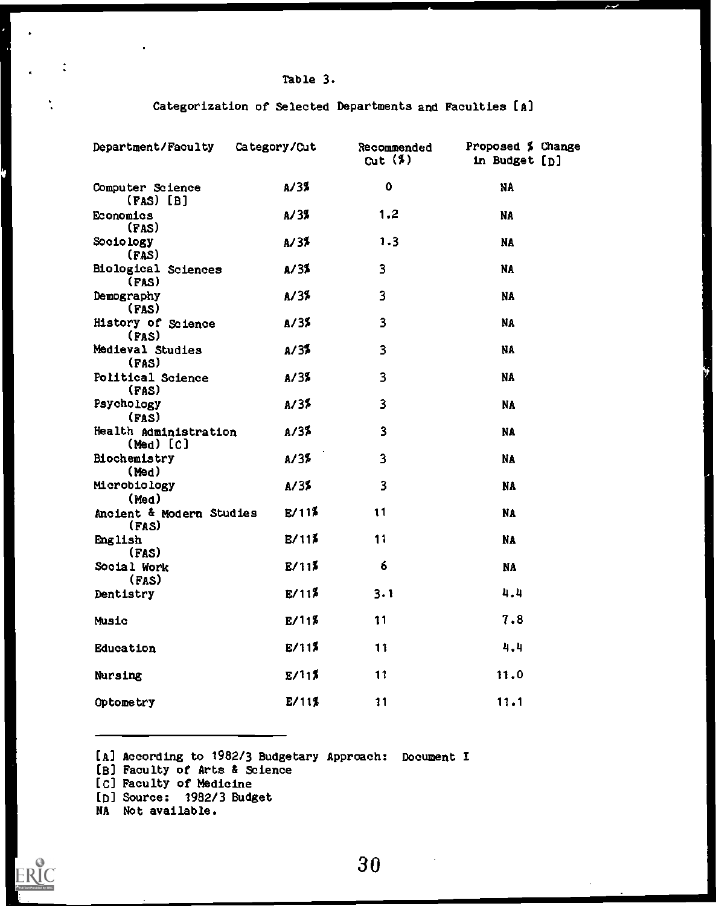## Table 3.

## Categorization of Selected Departments and Faculties [A]

| Department/Faculty Category/Cut    |          | Recommended<br>cut(%)   | Proposed % Change<br>in Budget [D] |
|------------------------------------|----------|-------------------------|------------------------------------|
| Computer Science<br>$(FAS)$ [B]    | A/3      | 0                       | NA                                 |
| Economics<br>(FAS)                 | A/3%     | 1.2                     | <b>NA</b>                          |
| Sociology<br>(FAS)                 | A/3%     | 1.3                     | <b>NA</b>                          |
| Biological Sciences<br>(FAS)       | A/3%     | $\overline{\mathbf{3}}$ | <b>NA</b>                          |
| Demography<br>(FAS)                | A/3%     | 3                       | NA                                 |
| History of Science<br>(FAS)        | A/3%     | 3                       | NA                                 |
| Medieval Studies<br>(FAS)          | A/3%     | 3                       | NA                                 |
| Political Science<br>(FAS)         | A/3%     | 3                       | <b>NA</b>                          |
| Psychology<br>(FAS)                | A/3%     | 3                       | <b>NA</b>                          |
| Health Administration<br>(Med) [C] | A/3%     | 3                       | <b>NA</b>                          |
| Biochemistry<br>(Med)              | A/3%     | 3                       | <b>NA</b>                          |
| Microbiology<br>(Med)              | A/3%     | 3                       | <b>NA</b>                          |
| Ancient & Modern Studies<br>(FAS)  | $E/11\%$ | 11                      | <b>NA</b>                          |
| English<br>(FAS)                   | E/11     | 11                      | <b>NA</b>                          |
| Social Work<br>(FAS)               | E/115    | 6                       | <b>NA</b>                          |
| Dentistry                          | $E/11\%$ | $3 - 1$                 | 4.4                                |
| Music                              | $E/11\%$ | 11                      | 7.8                                |
| Education                          | E/115    | 11                      | 4.4                                |
| Nursing                            | E/11     | 11                      | 11.0                               |
| Optometry                          | $E/11$ % | 11                      | 11.1                               |

[A] According to 1982/3 Budgetary Approach: Document I

[B] Faculty of Arts & Science

[C] Faculty of Medicine

[D] Source: 1982/3 Budget

NA Not available.

**ERIC** 

l,

ċ

÷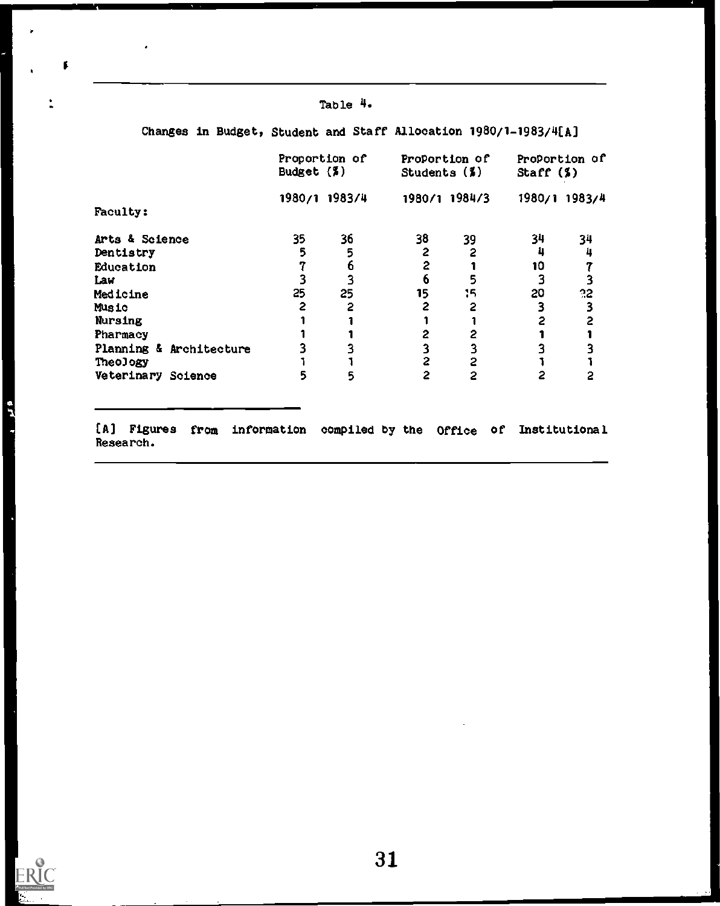# Table 4.

l,

 $\pmb{\mathfrak{f}}$ 

Changes in Budget, Student and Staff Allocation 1980/1-1983/4[A]

|                         | Budget $($ \$) | Proportion of | Students $(2)$ | Proportion of | Staff $(5)$ | Proportion of |
|-------------------------|----------------|---------------|----------------|---------------|-------------|---------------|
|                         |                | 1980/1 1983/4 |                | 1980/1 1984/3 |             | 1980/1 1983/4 |
| <b>Faculty:</b>         |                |               |                |               |             |               |
| Arts & Science          | 35             | 36            | 38             | 39            | 34          | 34            |
| Dentistry               | 5              | 5             | 2              | 2             | 4           | 4             |
| Education               |                | O             | 2              |               | 10          |               |
| Law                     |                |               | 6              | 5             | 3           | 3             |
| Medicine                | 25             | 25            | 15             | 15            | 20          | 22            |
| Music                   | 2              | 2             | 2              | 2             | 3           | 3             |
| Nursing                 |                |               |                |               | 2           | 2             |
| Pharmacy                |                |               | 2              | 2             |             |               |
| Planning & Architecture |                |               | 3              | 3             | 3           |               |
| Theology                |                |               | S.             | 2             |             |               |
| Veterinary Science      | 5              | 5             | S.             | 2             | S           | 2             |

[A] Figures from information compiled by the Office of Institutional Research.

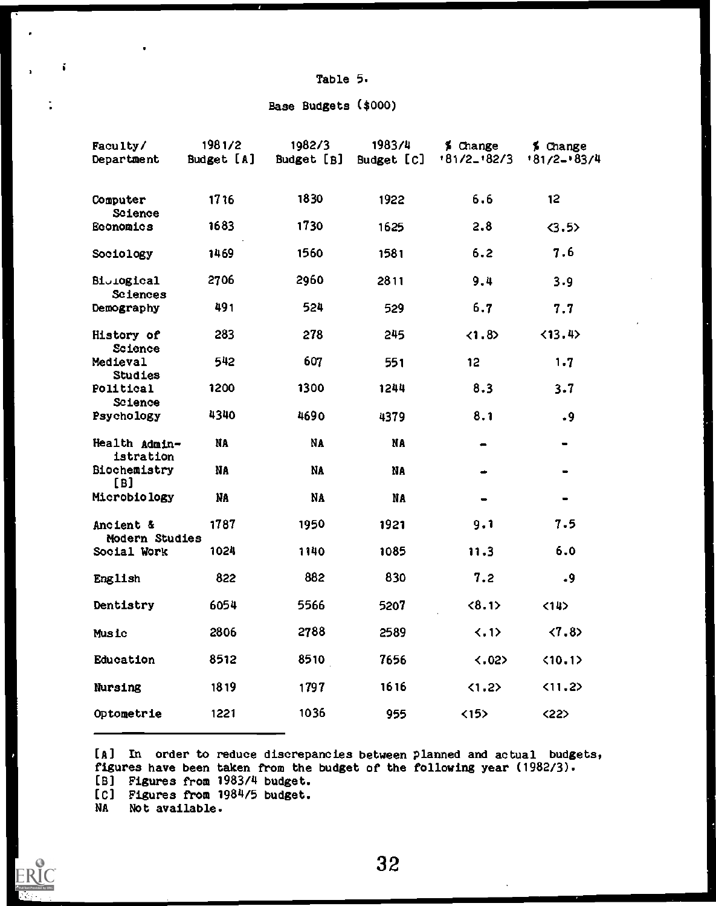Base Budgets (\$000)

| Faculty/<br>Department        | 1981/2<br>Budget [A] | 1982/3<br>Budget [B] | 1983/4<br>Budget [C] | % Change<br>181/2_182/3      | % Change<br>181/2-183/4 |  |
|-------------------------------|----------------------|----------------------|----------------------|------------------------------|-------------------------|--|
| Computer<br>Science           | 1716                 | 1830                 | 1922                 | 6.6                          | 12 <sub>2</sub>         |  |
| Economics                     | 1683                 | 1730                 | 1625                 | 2.8                          | 3.5                     |  |
| Sociology                     | 1469                 | 1560                 | 1581                 | 6.2                          | 7.6                     |  |
| Biological<br><b>Sciences</b> | 2706                 | 2960                 | 2811                 | 9.4                          | 3.9                     |  |
| Demography                    | 491                  | 524                  | 529                  | 6.7                          | 7.7                     |  |
| History of<br>Science         | 283                  | 278                  | 245                  | <1.8                         | < 13.4                  |  |
| Medieval<br><b>Studies</b>    | 542                  | 607                  | 551                  | 12 <sub>2</sub>              | 1.7                     |  |
| Political<br><b>Science</b>   | 1200                 | 1300                 | 1244                 | 8.3                          | $3 - 7$                 |  |
| Psychology                    | 4340                 | 4690                 | 4379                 | 8.1                          | .9                      |  |
| Health Admin-<br>istration    | <b>NA</b>            | <b>NA</b>            | NA                   |                              |                         |  |
| Biochemistry<br>[B]           | NA                   | <b>NA</b>            | <b>NA</b>            |                              |                         |  |
| Microbiology                  | <b>NA</b>            | <b>NA</b>            | <b>NA</b>            | $\qquad \qquad \blacksquare$ |                         |  |
| Ancient &<br>Modern Studies   | 1787                 | 1950                 | 1921                 | 9.1                          | 7.5                     |  |
| Social Work                   | 1024                 | 1140                 | 1085                 | 11.3                         | 6.0                     |  |
| English                       | 822                  | 882                  | 830                  | 7.2                          | .9                      |  |
| Dentistry                     | 6054                 | 5566                 | 5207                 | <8.1>                        | <14>                    |  |
| Music                         | 2806                 | 2788                 | 2589                 | $\langle .1 \rangle$         | < 7.8                   |  |
| Education                     | 8512                 | 8510                 | 7656                 | $\langle .02 \rangle$        | < 10.1                  |  |
| Nursing                       | 1819                 | 1797                 | 1616                 | <1.2                         | $11.2$                  |  |
| Optometrie                    | 1221                 | 1036                 | 955                  | $\langle 15 \rangle$         | <22>                    |  |

EA] In order to reduce discrepancies between planned and actual budgets, figures have been taken from the budget of the following year (1982/3). (B] Figures from 1983/4 budget.

Ed Figures from 1984/5 budget.

NA Not available.

ĩ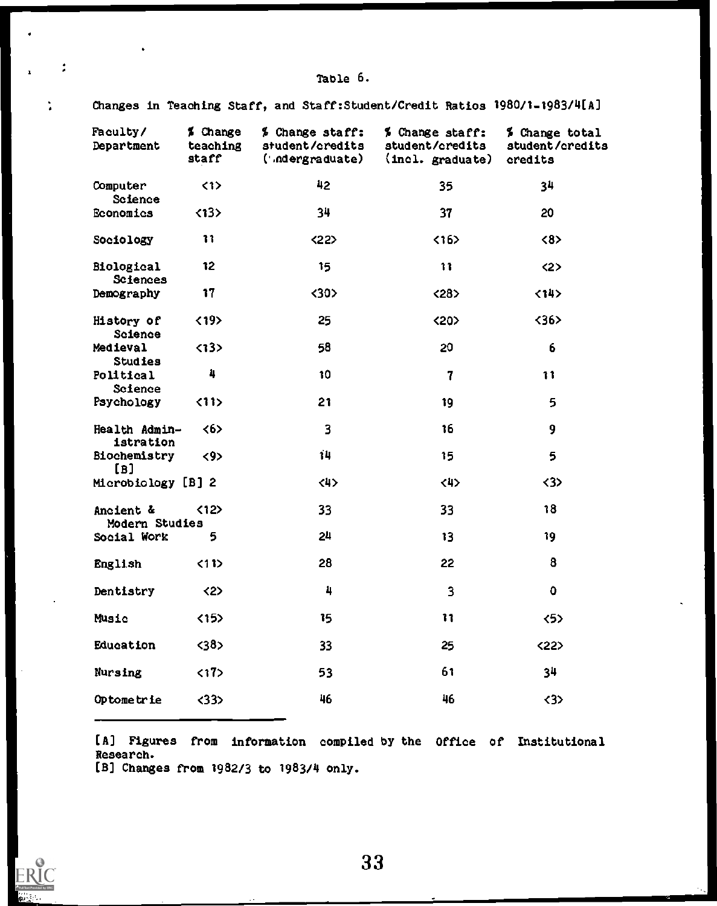| Faculty/<br>Department      | % Change<br>teaching<br>staff | % Change staff:<br>student/credits<br>(indergraduate) | % Change staff:<br>student/credits<br>(int. graduate) | % Change total<br>student/credits<br>credits |  |
|-----------------------------|-------------------------------|-------------------------------------------------------|-------------------------------------------------------|----------------------------------------------|--|
| Computer<br>Science         | $\langle$ 1>                  | 42                                                    | 35                                                    | 34                                           |  |
| Economics                   | $13$                          | 34                                                    | 37                                                    | 20                                           |  |
| Sociology                   | 11                            | <22>                                                  | $16$                                                  | $\langle 8 \rangle$                          |  |
| Biological<br>Sciences      | 12                            | 15                                                    | 11                                                    | <2>                                          |  |
| Demography                  | 17                            | $30$                                                  | $28$                                                  | $14$                                         |  |
| History of<br>Science       | $19$                          | 25                                                    | <20>                                                  | $36$                                         |  |
| Medieval<br><b>Studies</b>  | <13>                          | 58                                                    | 20                                                    | 6                                            |  |
| Political<br>Science        | 4                             | 10                                                    | 7                                                     | 11                                           |  |
| Psychology                  | $\langle 11 \rangle$          | 21                                                    | 19                                                    | 5                                            |  |
| Health Admin-<br>istration  | <6>                           | 3                                                     | 16                                                    | 9                                            |  |
| Biochemistry<br>[B]         | $\langle 9 \rangle$           | 14                                                    | 15                                                    | 5                                            |  |
| Microbiology [B] 2          |                               | <4>                                                   | <4>                                                   | $\langle 3 \rangle$                          |  |
| Ancient &<br>Modern Studies | $\langle 12 \rangle$          | 33                                                    | 33                                                    | 18                                           |  |
| Social Work                 | 5                             | 24                                                    | 13                                                    | 19                                           |  |
| <b>English</b>              | <11                           | 28                                                    | 22                                                    | 8                                            |  |
| Dentistry                   | <2>                           | 4                                                     | 3                                                     | 0                                            |  |
| Music                       | $\langle 15 \rangle$          | 15                                                    | $\mathbf{11}$                                         | <5>                                          |  |
| Education                   | $38$                          | 33                                                    | 25                                                    | $\langle 22 \rangle$                         |  |
| Nursing                     | < 17                          | 53                                                    | 61                                                    | 34                                           |  |
| Optometrie                  | $\langle 33 \rangle$          | 46                                                    | 46                                                    | $\langle 3 \rangle$                          |  |

[A] Figures from information compiled by the Office of Institutional Research. [B] Changes from 1982/3 to 1983/4 only.



÷

÷,

Table 6.

Changes in Teaching Staff, and Staff:Student/Credit Ratios 1980/1-1983/4[A]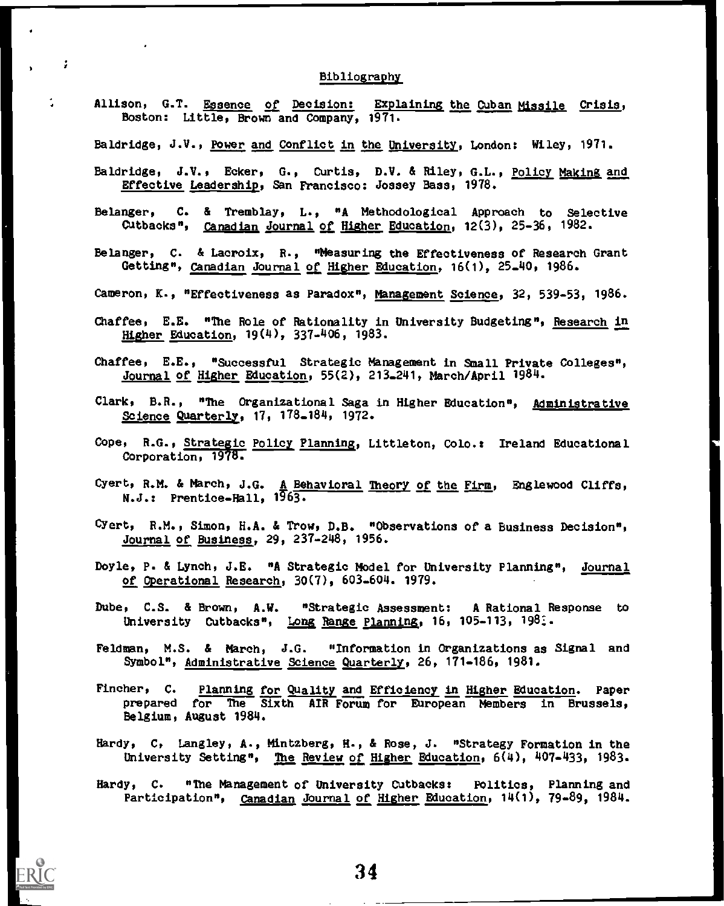#### Bibliography

Allison, O.T. Essence of Decision: Explaining the Cuban Missile Crisis, Boston: Little, Brown and Company, 1971.

Baldridge, J.V., Power and Conflict in the University, London: Wiley, 1971.

- Baldridge, J.V., Ecker, G., Curtis, D.V. & Riley, G.L., Policy Making and Effective Leadership, San Francisco: Jossey Bass, 1978.
- Belanger, C. & Tremblay, L., "A Methodological Approach to Selective Cutbacks", <u>Canadian Journal of Higher Education</u>, 12(3), 25-36, 1982.
- Belanger, C. & Lacroix, R., "Measuring the Effectiveness of Research Grant Getting", <u>Canadian</u> <u>Journal of Higher Education</u>, 16(1), 25<sub>-</sub>40, 1986.

Cameron, K., "Effectiveness as Paradox", Management Science, 32, 539-53, 1986.

- Chaffee, E.E. "The Role of Rationality in University Budgeting", Research in Higher Education,  $19(4)$ ,  $337-406$ ,  $1983$ .
- Chaffee, E.E., "Successful Strategic Management in Small Private Higher Education, 1989, 1989, 1989.<br>The, E.E., "Successful Strategic Management in Small Private Colleges", Journal of Higher Education, 55(2), 213-241, March/April 1984. Colleges",
- Clark, B.R., "The Organizational Saga in Higher Education", Administrative Science Quarterly, 17, 178-184, 1972.
- Cope, R.G., Strategic Policy Planning, Littleton, Colo.: Ireland Educational Corporation, 1978.
- Cyert, R.M. & March, J.G. A Behavioral Theory of the Firm, Englewood Cliffs,  $N.J.$ : Prentice-Hall,  $1\overline{963}$ .
- CYert, R.M., Simon, H.A. & Trow, D.B. "Observations of a Business Decision", Journal of Business, 29, 237-248, 1956.
- Doyle, P. & Lynch, J.E. "A Strategic Model for University Planning", Journal of Operational Research, 30(7), 603-604. 1979.
- Dube, C.S. & Brown, A.W. "Strategic Assessment: A Rational Response to University Cutbacks", Long Range Planning, 16, 105-113, 198:.
- Feldman, M.S. & March, J.G. "Information in Organizations as Signal and Symbol", Administrative Science Quarterly, 26, 171-186, 1981.
- Fincher, C. Planning for Quality and Efficiency in Higher Education. Paper prepared for The Sixth AIR Forum for European Members in Brussels, Belgium, August 1984.
- Hardy, C, Langley, A., Mintzberg, H., & Rose, J. "Strategy Formation in the University Setting", The Review of Higher Education, 6(4), 407-433, 1983.
- Hardy, C. "The Management of University Cutbacks: Politics, Planning and Participation", Canadian Journal of Higher Education, 14(1), 79-89, 1984.



Ŷ,

÷.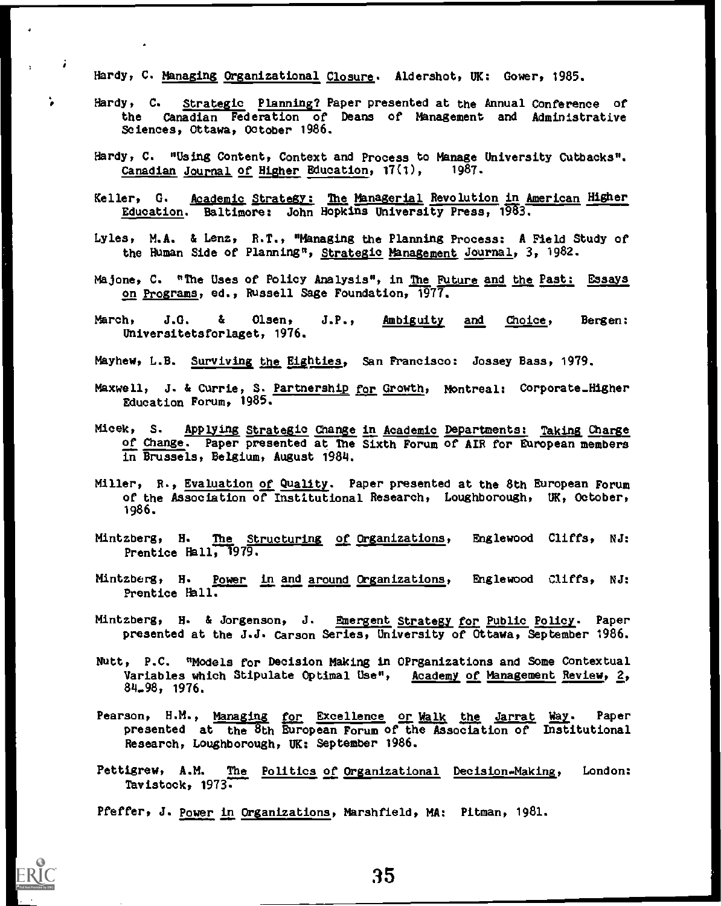Hardy, C. Managing Organizational Closure. Aldershot, UK: Gower, 1985.

Ĵ.

÷.

- Hardy, C. Strategic Planning? Paper presented at the Annual Conference of the Canadian Federation of Deans of Management and Administrative Sciences, Ottawa, Ootober 1986.
- Hardy, C. "Using Content, Context and Process to Manage University Cutbacks". Canadian Journal of Higher Education, 17(1), 1987.
- Keller, G. Academic Strategy: The Managerial Revolution in American Higher Education. Baltimore: John Hopkins University Press, 1983.
- Lyles, M.A. & Lenz, B.T., "Managing the Planning Process: A Field Study of the Human Side of Planning", Strategic Management Journal, 3, 1982.
- Majone, C. "The Uses of Policy Analysis", in The Future and the Past: Essays, on programs, ed., Russell Sage Foundation, 1977.
- March, J.G. & Olsen, J.P., Ambiguity and Choice, Bergen: Universitetsforlaget, 1976.
- Mayhew, L.B. Survivimg the Eighties, San Francisco: Jossey Bass, 1979.
- Maxwell, J. & Currie, S<u>. Partnership for Growth</u>, Montreal: Corporate\_Higher Education Forum, 1985.
- Micek, S. <u>Applying Strategic Change in Academic Departments: Taking Charge</u> of Change. Paper presented at The Sixth Forum of AIR for European members in Brussels, Belgium, August 1984.
- Miller, R., Evaluation of Quality. Paper presented at the 8th European Forum of the Association of Institutional Research, Loughborough, UK, October, 1986.
- Mintzberg, H. The Structuring of Organizations, Englewood Cliffs, NJ: Prentice Hall,  $\overline{1979}$ .
- Mintzberg, H. Power in and around Organizations, Englewood Cliffs, NJ: Prentice Hall.
- Mintzberg, H. & Jorgenson, J. Emergent Strategy for Public Policy. Paper presented at the J.J. Carson Series, University of Ottawa, September 1986.
- NUtt, P.C. "Models for Decision Making in OPrganizations and Some Contextual Variables which Stipulate Optimal Use", Academy of Management Review, 2, 84.98, 1976.
- Pearson, H.M., Managing for Excellence or Walk the Jarrat Way. Paper presented at the 8th European Forum of the Association of Institutional Research, Loughborough, UK: September 1986.
- Pettigrew, A.M. The Politics of Organizational Decision-Making, London: Tavistock, 1973.

Pfeffer, J. Power in Organizations, Marshfield, MA: Pitman, 1981.